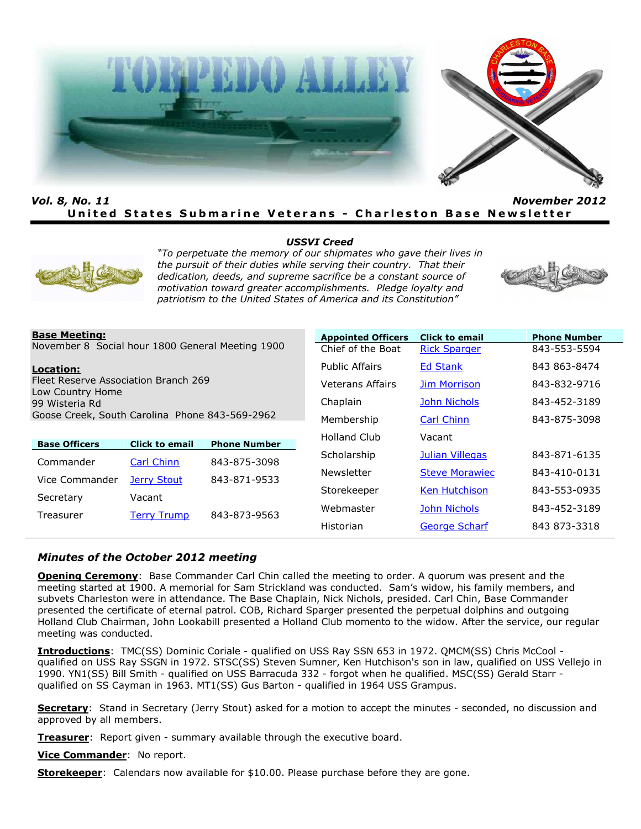

## *Vol. 8, No. 11 November 2012* **United States Submarine Veterans - Charleston Base Newsletter**

#### *USSVI Creed*



*"To perpetuate the memory of our shipmates who gave their lives in the pursuit of their duties while serving their country. That their dedication, deeds, and supreme sacrifice be a constant source of motivation toward greater accomplishments. Pledge loyalty and patriotism to the United States of America and its Constitution"*



| <b>Base Meeting:</b>                                     |                       |                     | <b>Appointed Officers</b> | <b>Click to email</b> | <b>Phone Number</b> |
|----------------------------------------------------------|-----------------------|---------------------|---------------------------|-----------------------|---------------------|
| November 8 Social hour 1800 General Meeting 1900         |                       |                     | Chief of the Boat         | <b>Rick Sparger</b>   | 843-553-5594        |
| Location:                                                |                       |                     | <b>Public Affairs</b>     | <b>Ed Stank</b>       | 843 863-8474        |
| Fleet Reserve Association Branch 269<br>Low Country Home |                       |                     | Veterans Affairs          | <b>Jim Morrison</b>   | 843-832-9716        |
| 99 Wisteria Rd                                           |                       |                     | Chaplain                  | <b>John Nichols</b>   | 843-452-3189        |
| Goose Creek, South Carolina Phone 843-569-2962           |                       |                     | Membership                | <b>Carl Chinn</b>     | 843-875-3098        |
|                                                          |                       |                     | <b>Holland Club</b>       | Vacant                |                     |
| <b>Base Officers</b>                                     | <b>Click to email</b> | <b>Phone Number</b> |                           |                       |                     |
| Commander                                                | <b>Carl Chinn</b>     | 843-875-3098        | Scholarship               | Julian Villegas       | 843-871-6135        |
|                                                          |                       |                     | Newsletter                | <b>Steve Morawiec</b> | 843-410-0131        |
| Vice Commander                                           | <b>Jerry Stout</b>    | 843-871-9533        |                           |                       |                     |
| Secretary                                                | Vacant                |                     | Storekeeper               | Ken Hutchison         | 843-553-0935        |
| Treasurer                                                | <b>Terry Trump</b>    | 843-873-9563        | Webmaster                 | <b>John Nichols</b>   | 843-452-3189        |
|                                                          |                       |                     | Historian                 | <b>George Scharf</b>  | 843 873-3318        |

## *Minutes of the October 2012 meeting*

**Opening Ceremony**: Base Commander Carl Chin called the meeting to order. A quorum was present and the meeting started at 1900. A memorial for Sam Strickland was conducted. Sam's widow, his family members, and subvets Charleston were in attendance. The Base Chaplain, Nick Nichols, presided. Carl Chin, Base Commander presented the certificate of eternal patrol. COB, Richard Sparger presented the perpetual dolphins and outgoing Holland Club Chairman, John Lookabill presented a Holland Club momento to the widow. After the service, our regular meeting was conducted.

**Introductions**: TMC(SS) Dominic Coriale - qualified on USS Ray SSN 653 in 1972. QMCM(SS) Chris McCool qualified on USS Ray SSGN in 1972. STSC(SS) Steven Sumner, Ken Hutchison's son in law, qualified on USS Vellejo in 1990. YN1(SS) Bill Smith - qualified on USS Barracuda 332 - forgot when he qualified. MSC(SS) Gerald Starr qualified on SS Cayman in 1963. MT1(SS) Gus Barton - qualified in 1964 USS Grampus.

**Secretary**: Stand in Secretary (Jerry Stout) asked for a motion to accept the minutes - seconded, no discussion and approved by all members.

**Treasurer**: Report given - summary available through the executive board.

**Vice Commander**: No report.

**Storekeeper**: Calendars now available for \$10.00. Please purchase before they are gone.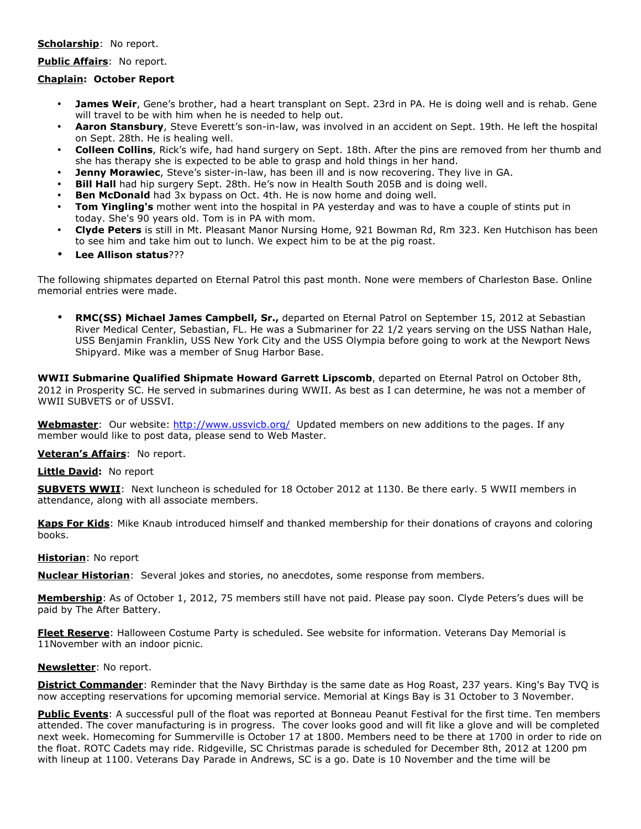#### **Scholarship**: No report.

#### **Public Affairs**: No report.

#### **Chaplain: October Report**

- **James Weir**, Gene's brother, had a heart transplant on Sept. 23rd in PA. He is doing well and is rehab. Gene will travel to be with him when he is needed to help out.
- **Aaron Stansbury**, Steve Everett's son-in-law, was involved in an accident on Sept. 19th. He left the hospital on Sept. 28th. He is healing well.
- **Colleen Collins**, Rick's wife, had hand surgery on Sept. 18th. After the pins are removed from her thumb and she has therapy she is expected to be able to grasp and hold things in her hand.
- **Jenny Morawiec**, Steve's sister-in-law, has been ill and is now recovering. They live in GA.
- **Bill Hall** had hip surgery Sept. 28th. He's now in Health South 205B and is doing well.
- **Ben McDonald** had 3x bypass on Oct. 4th. He is now home and doing well.
- **Tom Yingling's** mother went into the hospital in PA yesterday and was to have a couple of stints put in today. She's 90 years old. Tom is in PA with mom.
- **Clyde Peters** is still in Mt. Pleasant Manor Nursing Home, 921 Bowman Rd, Rm 323. Ken Hutchison has been to see him and take him out to lunch. We expect him to be at the pig roast.
- **Lee Allison status**???

The following shipmates departed on Eternal Patrol this past month. None were members of Charleston Base. Online memorial entries were made.

• **RMC(SS) Michael James Campbell, Sr.,** departed on Eternal Patrol on September 15, 2012 at Sebastian River Medical Center, Sebastian, FL. He was a Submariner for 22 1/2 years serving on the USS Nathan Hale, USS Benjamin Franklin, USS New York City and the USS Olympia before going to work at the Newport News Shipyard. Mike was a member of Snug Harbor Base.

**WWII Submarine Qualified Shipmate Howard Garrett Lipscomb**, departed on Eternal Patrol on October 8th, 2012 in Prosperity SC. He served in submarines during WWII. As best as I can determine, he was not a member of WWII SUBVETS or of USSVI.

**Webmaster**: Our website: <http://www.ussvicb.org/>Updated members on new additions to the pages. If any member would like to post data, please send to Web Master.

#### **Veteran's Affairs**: No report.

#### **Little David:** No report

**SUBVETS WWII**: Next luncheon is scheduled for 18 October 2012 at 1130. Be there early. 5 WWII members in attendance, along with all associate members.

**Kaps For Kids**: Mike Knaub introduced himself and thanked membership for their donations of crayons and coloring books.

#### **Historian**: No report

**Nuclear Historian**: Several jokes and stories, no anecdotes, some response from members.

**Membership**: As of October 1, 2012, 75 members still have not paid. Please pay soon. Clyde Peters's dues will be paid by The After Battery.

**Fleet Reserve**: Halloween Costume Party is scheduled. See website for information. Veterans Day Memorial is 11November with an indoor picnic.

#### **Newsletter**: No report.

**District Commander**: Reminder that the Navy Birthday is the same date as Hog Roast, 237 years. King's Bay TVQ is now accepting reservations for upcoming memorial service. Memorial at Kings Bay is 31 October to 3 November.

**Public Events**: A successful pull of the float was reported at Bonneau Peanut Festival for the first time. Ten members attended. The cover manufacturing is in progress. The cover looks good and will fit like a glove and will be completed next week. Homecoming for Summerville is October 17 at 1800. Members need to be there at 1700 in order to ride on the float. ROTC Cadets may ride. Ridgeville, SC Christmas parade is scheduled for December 8th, 2012 at 1200 pm with lineup at 1100. Veterans Day Parade in Andrews, SC is a go. Date is 10 November and the time will be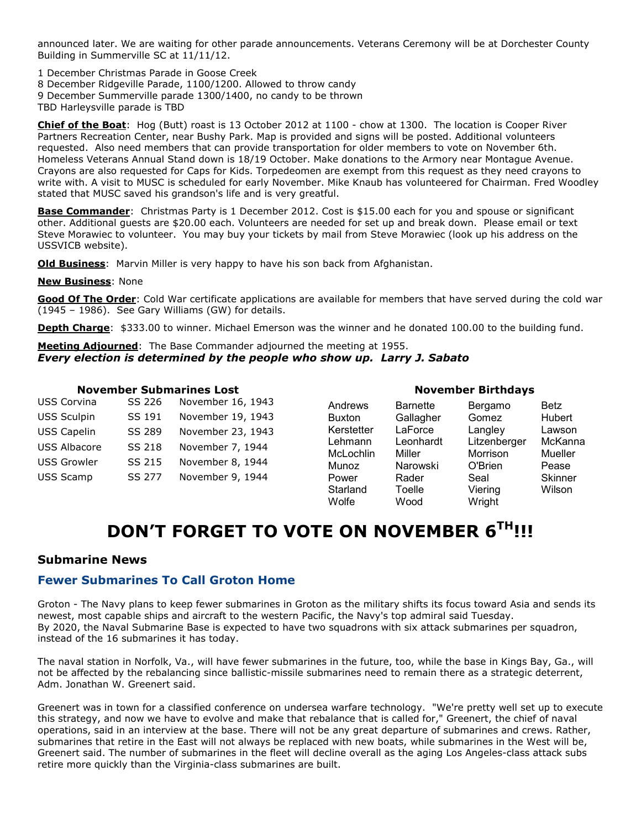announced later. We are waiting for other parade announcements. Veterans Ceremony will be at Dorchester County Building in Summerville SC at 11/11/12.

1 December Christmas Parade in Goose Creek

8 December Ridgeville Parade, 1100/1200. Allowed to throw candy

9 December Summerville parade 1300/1400, no candy to be thrown

TBD Harleysville parade is TBD

**Chief of the Boat**: Hog (Butt) roast is 13 October 2012 at 1100 - chow at 1300. The location is Cooper River Partners Recreation Center, near Bushy Park. Map is provided and signs will be posted. Additional volunteers requested. Also need members that can provide transportation for older members to vote on November 6th. Homeless Veterans Annual Stand down is 18/19 October. Make donations to the Armory near Montague Avenue. Crayons are also requested for Caps for Kids. Torpedeomen are exempt from this request as they need crayons to write with. A visit to MUSC is scheduled for early November. Mike Knaub has volunteered for Chairman. Fred Woodley stated that MUSC saved his grandson's life and is very greatful.

**Base Commander**: Christmas Party is 1 December 2012. Cost is \$15.00 each for you and spouse or significant other. Additional guests are \$20.00 each. Volunteers are needed for set up and break down. Please email or text Steve Morawiec to volunteer. You may buy your tickets by mail from Steve Morawiec (look up his address on the USSVICB website).

**Old Business**: Marvin Miller is very happy to have his son back from Afghanistan.

#### **New Business**: None

**Good Of The Order**: Cold War certificate applications are available for members that have served during the cold war (1945 – 1986). See Gary Williams (GW) for details.

**Depth Charge**: \$333.00 to winner. Michael Emerson was the winner and he donated 100.00 to the building fund.

**Meeting Adjourned**: The Base Commander adjourned the meeting at 1955. *Every election is determined by the people who show up. Larry J. Sabato* 

#### **November Submarines Lost November Birthdays**

| <b>USS Corvina</b>  | SS 226        | November 16, 1943 |
|---------------------|---------------|-------------------|
| <b>USS Sculpin</b>  | SS 191        | November 19, 1943 |
| <b>USS Capelin</b>  | SS 289        | November 23, 1943 |
| <b>USS Albacore</b> | <b>SS 218</b> | November 7, 1944  |
| <b>USS Growler</b>  | SS 215        | November 8, 1944  |
| <b>USS Scamp</b>    | SS 277        | November 9, 1944  |

| Andrews       | <b>Barnette</b> | Bergamo      | <b>Betz</b>    |  |  |  |  |
|---------------|-----------------|--------------|----------------|--|--|--|--|
| <b>Buxton</b> | Gallagher       | Gomez        | Hubert         |  |  |  |  |
| Kerstetter    | LaForce         | Langley      | Lawson         |  |  |  |  |
| Lehmann       | Leonhardt       | Litzenberger | McKanna        |  |  |  |  |
| McLochlin     | Miller          | Morrison     | Mueller        |  |  |  |  |
| Munoz         | Narowski        | O'Brien      | Pease          |  |  |  |  |
| Power         | Rader           | Seal         | <b>Skinner</b> |  |  |  |  |
| Starland      | Toelle          | Viering      | Wilson         |  |  |  |  |
| Wolfe         | Wood            | Wright       |                |  |  |  |  |

# **DON'T FORGET TO VOTE ON NOVEMBER 6TH!!!**

## **Submarine News**

# **Fewer Submarines To Call Groton Home**

Groton - The Navy plans to keep fewer submarines in Groton as the military shifts its focus toward Asia and sends its newest, most capable ships and aircraft to the western Pacific, the Navy's top admiral said Tuesday. By 2020, the Naval Submarine Base is expected to have two squadrons with six attack submarines per squadron, instead of the 16 submarines it has today.

The naval station in Norfolk, Va., will have fewer submarines in the future, too, while the base in Kings Bay, Ga., will not be affected by the rebalancing since ballistic-missile submarines need to remain there as a strategic deterrent, Adm. Jonathan W. Greenert said.

Greenert was in town for a classified conference on undersea warfare technology. "We're pretty well set up to execute this strategy, and now we have to evolve and make that rebalance that is called for," Greenert, the chief of naval operations, said in an interview at the base. There will not be any great departure of submarines and crews. Rather, submarines that retire in the East will not always be replaced with new boats, while submarines in the West will be, Greenert said. The number of submarines in the fleet will decline overall as the aging Los Angeles-class attack subs retire more quickly than the Virginia-class submarines are built.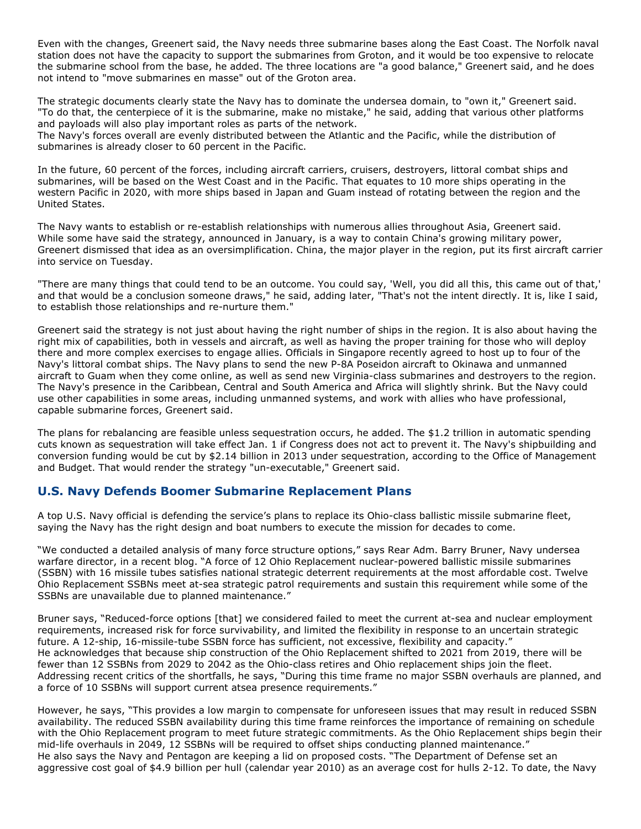Even with the changes, Greenert said, the Navy needs three submarine bases along the East Coast. The Norfolk naval station does not have the capacity to support the submarines from Groton, and it would be too expensive to relocate the submarine school from the base, he added. The three locations are "a good balance," Greenert said, and he does not intend to "move submarines en masse" out of the Groton area.

The strategic documents clearly state the Navy has to dominate the undersea domain, to "own it," Greenert said. "To do that, the centerpiece of it is the submarine, make no mistake," he said, adding that various other platforms and payloads will also play important roles as parts of the network.

The Navy's forces overall are evenly distributed between the Atlantic and the Pacific, while the distribution of submarines is already closer to 60 percent in the Pacific.

In the future, 60 percent of the forces, including aircraft carriers, cruisers, destroyers, littoral combat ships and submarines, will be based on the West Coast and in the Pacific. That equates to 10 more ships operating in the western Pacific in 2020, with more ships based in Japan and Guam instead of rotating between the region and the United States.

The Navy wants to establish or re-establish relationships with numerous allies throughout Asia, Greenert said. While some have said the strategy, announced in January, is a way to contain China's growing military power, Greenert dismissed that idea as an oversimplification. China, the major player in the region, put its first aircraft carrier into service on Tuesday.

"There are many things that could tend to be an outcome. You could say, 'Well, you did all this, this came out of that,' and that would be a conclusion someone draws," he said, adding later, "That's not the intent directly. It is, like I said, to establish those relationships and re-nurture them."

Greenert said the strategy is not just about having the right number of ships in the region. It is also about having the right mix of capabilities, both in vessels and aircraft, as well as having the proper training for those who will deploy there and more complex exercises to engage allies. Officials in Singapore recently agreed to host up to four of the Navy's littoral combat ships. The Navy plans to send the new P-8A Poseidon aircraft to Okinawa and unmanned aircraft to Guam when they come online, as well as send new Virginia-class submarines and destroyers to the region. The Navy's presence in the Caribbean, Central and South America and Africa will slightly shrink. But the Navy could use other capabilities in some areas, including unmanned systems, and work with allies who have professional, capable submarine forces, Greenert said.

The plans for rebalancing are feasible unless sequestration occurs, he added. The \$1.2 trillion in automatic spending cuts known as sequestration will take effect Jan. 1 if Congress does not act to prevent it. The Navy's shipbuilding and conversion funding would be cut by \$2.14 billion in 2013 under sequestration, according to the Office of Management and Budget. That would render the strategy "un-executable," Greenert said.

# **U.S. Navy Defends Boomer Submarine Replacement Plans**

A top U.S. Navy official is defending the service's plans to replace its Ohio-class ballistic missile submarine fleet, saying the Navy has the right design and boat numbers to execute the mission for decades to come.

"We conducted a detailed analysis of many force structure options," says Rear Adm. Barry Bruner, Navy undersea warfare director, in a recent blog. "A force of 12 Ohio Replacement nuclear-powered ballistic missile submarines (SSBN) with 16 missile tubes satisfies national strategic deterrent requirements at the most affordable cost. Twelve Ohio Replacement SSBNs meet at-sea strategic patrol requirements and sustain this requirement while some of the SSBNs are unavailable due to planned maintenance."

Bruner says, "Reduced-force options [that] we considered failed to meet the current at-sea and nuclear employment requirements, increased risk for force survivability, and limited the flexibility in response to an uncertain strategic future. A 12-ship, 16-missile-tube SSBN force has sufficient, not excessive, flexibility and capacity." He acknowledges that because ship construction of the Ohio Replacement shifted to 2021 from 2019, there will be fewer than 12 SSBNs from 2029 to 2042 as the Ohio-class retires and Ohio replacement ships join the fleet. Addressing recent critics of the shortfalls, he says, "During this time frame no major SSBN overhauls are planned, and a force of 10 SSBNs will support current atsea presence requirements."

However, he says, "This provides a low margin to compensate for unforeseen issues that may result in reduced SSBN availability. The reduced SSBN availability during this time frame reinforces the importance of remaining on schedule with the Ohio Replacement program to meet future strategic commitments. As the Ohio Replacement ships begin their mid-life overhauls in 2049, 12 SSBNs will be required to offset ships conducting planned maintenance." He also says the Navy and Pentagon are keeping a lid on proposed costs. "The Department of Defense set an aggressive cost goal of \$4.9 billion per hull (calendar year 2010) as an average cost for hulls 2-12. To date, the Navy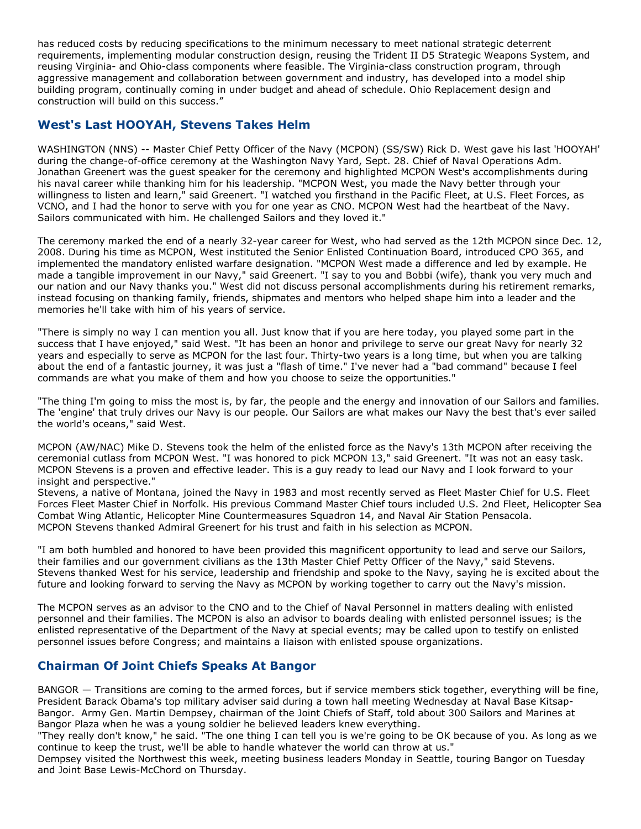has reduced costs by reducing specifications to the minimum necessary to meet national strategic deterrent requirements, implementing modular construction design, reusing the Trident II D5 Strategic Weapons System, and reusing Virginia- and Ohio-class components where feasible. The Virginia-class construction program, through aggressive management and collaboration between government and industry, has developed into a model ship building program, continually coming in under budget and ahead of schedule. Ohio Replacement design and construction will build on this success."

# **West's Last HOOYAH, Stevens Takes Helm**

WASHINGTON (NNS) -- Master Chief Petty Officer of the Navy (MCPON) (SS/SW) Rick D. West gave his last 'HOOYAH' during the change-of-office ceremony at the Washington Navy Yard, Sept. 28. Chief of Naval Operations Adm. Jonathan Greenert was the guest speaker for the ceremony and highlighted MCPON West's accomplishments during his naval career while thanking him for his leadership. "MCPON West, you made the Navy better through your willingness to listen and learn," said Greenert. "I watched you firsthand in the Pacific Fleet, at U.S. Fleet Forces, as VCNO, and I had the honor to serve with you for one year as CNO. MCPON West had the heartbeat of the Navy. Sailors communicated with him. He challenged Sailors and they loved it."

The ceremony marked the end of a nearly 32-year career for West, who had served as the 12th MCPON since Dec. 12, 2008. During his time as MCPON, West instituted the Senior Enlisted Continuation Board, introduced CPO 365, and implemented the mandatory enlisted warfare designation. "MCPON West made a difference and led by example. He made a tangible improvement in our Navy," said Greenert. "I say to you and Bobbi (wife), thank you very much and our nation and our Navy thanks you." West did not discuss personal accomplishments during his retirement remarks, instead focusing on thanking family, friends, shipmates and mentors who helped shape him into a leader and the memories he'll take with him of his years of service.

"There is simply no way I can mention you all. Just know that if you are here today, you played some part in the success that I have enjoyed," said West. "It has been an honor and privilege to serve our great Navy for nearly 32 years and especially to serve as MCPON for the last four. Thirty-two years is a long time, but when you are talking about the end of a fantastic journey, it was just a "flash of time." I've never had a "bad command" because I feel commands are what you make of them and how you choose to seize the opportunities."

"The thing I'm going to miss the most is, by far, the people and the energy and innovation of our Sailors and families. The 'engine' that truly drives our Navy is our people. Our Sailors are what makes our Navy the best that's ever sailed the world's oceans," said West.

MCPON (AW/NAC) Mike D. Stevens took the helm of the enlisted force as the Navy's 13th MCPON after receiving the ceremonial cutlass from MCPON West. "I was honored to pick MCPON 13," said Greenert. "It was not an easy task. MCPON Stevens is a proven and effective leader. This is a guy ready to lead our Navy and I look forward to your insight and perspective."

Stevens, a native of Montana, joined the Navy in 1983 and most recently served as Fleet Master Chief for U.S. Fleet Forces Fleet Master Chief in Norfolk. His previous Command Master Chief tours included U.S. 2nd Fleet, Helicopter Sea Combat Wing Atlantic, Helicopter Mine Countermeasures Squadron 14, and Naval Air Station Pensacola. MCPON Stevens thanked Admiral Greenert for his trust and faith in his selection as MCPON.

"I am both humbled and honored to have been provided this magnificent opportunity to lead and serve our Sailors, their families and our government civilians as the 13th Master Chief Petty Officer of the Navy," said Stevens. Stevens thanked West for his service, leadership and friendship and spoke to the Navy, saying he is excited about the future and looking forward to serving the Navy as MCPON by working together to carry out the Navy's mission.

The MCPON serves as an advisor to the CNO and to the Chief of Naval Personnel in matters dealing with enlisted personnel and their families. The MCPON is also an advisor to boards dealing with enlisted personnel issues; is the enlisted representative of the Department of the Navy at special events; may be called upon to testify on enlisted personnel issues before Congress; and maintains a liaison with enlisted spouse organizations.

# **Chairman Of Joint Chiefs Speaks At Bangor**

BANGOR — Transitions are coming to the armed forces, but if service members stick together, everything will be fine, President Barack Obama's top military adviser said during a town hall meeting Wednesday at Naval Base Kitsap-Bangor. Army Gen. Martin Dempsey, chairman of the Joint Chiefs of Staff, told about 300 Sailors and Marines at Bangor Plaza when he was a young soldier he believed leaders knew everything.

"They really don't know," he said. "The one thing I can tell you is we're going to be OK because of you. As long as we continue to keep the trust, we'll be able to handle whatever the world can throw at us."

Dempsey visited the Northwest this week, meeting business leaders Monday in Seattle, touring Bangor on Tuesday and Joint Base Lewis-McChord on Thursday.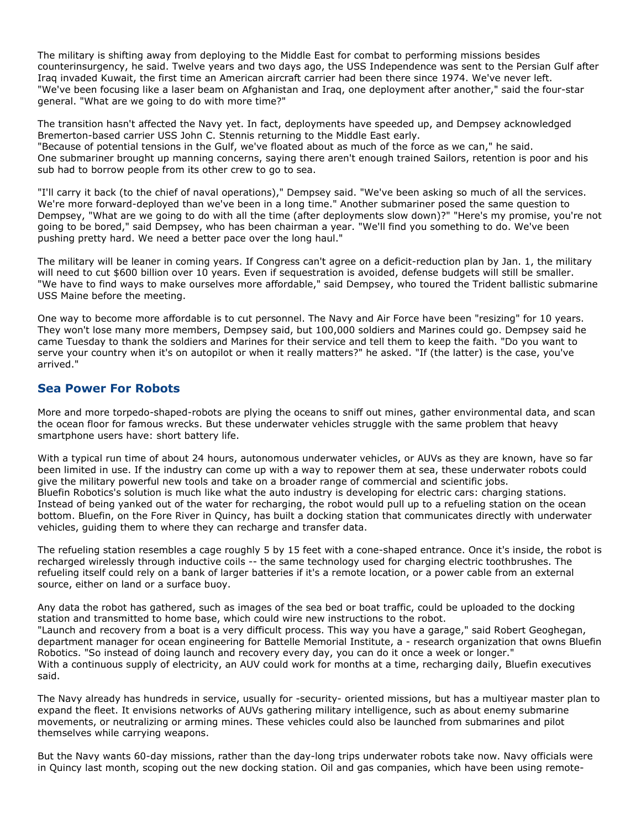The military is shifting away from deploying to the Middle East for combat to performing missions besides counterinsurgency, he said. Twelve years and two days ago, the USS Independence was sent to the Persian Gulf after Iraq invaded Kuwait, the first time an American aircraft carrier had been there since 1974. We've never left. "We've been focusing like a laser beam on Afghanistan and Iraq, one deployment after another," said the four-star general. "What are we going to do with more time?"

The transition hasn't affected the Navy yet. In fact, deployments have speeded up, and Dempsey acknowledged Bremerton-based carrier USS John C. Stennis returning to the Middle East early. "Because of potential tensions in the Gulf, we've floated about as much of the force as we can," he said. One submariner brought up manning concerns, saying there aren't enough trained Sailors, retention is poor and his sub had to borrow people from its other crew to go to sea.

"I'll carry it back (to the chief of naval operations)," Dempsey said. "We've been asking so much of all the services. We're more forward-deployed than we've been in a long time." Another submariner posed the same question to Dempsey, "What are we going to do with all the time (after deployments slow down)?" "Here's my promise, you're not going to be bored," said Dempsey, who has been chairman a year. "We'll find you something to do. We've been pushing pretty hard. We need a better pace over the long haul."

The military will be leaner in coming years. If Congress can't agree on a deficit-reduction plan by Jan. 1, the military will need to cut \$600 billion over 10 years. Even if sequestration is avoided, defense budgets will still be smaller. "We have to find ways to make ourselves more affordable," said Dempsey, who toured the Trident ballistic submarine USS Maine before the meeting.

One way to become more affordable is to cut personnel. The Navy and Air Force have been "resizing" for 10 years. They won't lose many more members, Dempsey said, but 100,000 soldiers and Marines could go. Dempsey said he came Tuesday to thank the soldiers and Marines for their service and tell them to keep the faith. "Do you want to serve your country when it's on autopilot or when it really matters?" he asked. "If (the latter) is the case, you've arrived."

# **Sea Power For Robots**

More and more torpedo-shaped-robots are plying the oceans to sniff out mines, gather environmental data, and scan the ocean floor for famous wrecks. But these underwater vehicles struggle with the same problem that heavy smartphone users have: short battery life.

With a typical run time of about 24 hours, autonomous underwater vehicles, or AUVs as they are known, have so far been limited in use. If the industry can come up with a way to repower them at sea, these underwater robots could give the military powerful new tools and take on a broader range of commercial and scientific jobs. Bluefin Robotics's solution is much like what the auto industry is developing for electric cars: charging stations. Instead of being yanked out of the water for recharging, the robot would pull up to a refueling station on the ocean bottom. Bluefin, on the Fore River in Quincy, has built a docking station that communicates directly with underwater vehicles, guiding them to where they can recharge and transfer data.

The refueling station resembles a cage roughly 5 by 15 feet with a cone-shaped entrance. Once it's inside, the robot is recharged wirelessly through inductive coils -- the same technology used for charging electric toothbrushes. The refueling itself could rely on a bank of larger batteries if it's a remote location, or a power cable from an external source, either on land or a surface buoy.

Any data the robot has gathered, such as images of the sea bed or boat traffic, could be uploaded to the docking station and transmitted to home base, which could wire new instructions to the robot. "Launch and recovery from a boat is a very difficult process. This way you have a garage," said Robert Geoghegan, department manager for ocean engineering for Battelle Memorial Institute, a - research organization that owns Bluefin Robotics. "So instead of doing launch and recovery every day, you can do it once a week or longer." With a continuous supply of electricity, an AUV could work for months at a time, recharging daily, Bluefin executives said.

The Navy already has hundreds in service, usually for -security- oriented missions, but has a multiyear master plan to expand the fleet. It envisions networks of AUVs gathering military intelligence, such as about enemy submarine movements, or neutralizing or arming mines. These vehicles could also be launched from submarines and pilot themselves while carrying weapons.

But the Navy wants 60-day missions, rather than the day-long trips underwater robots take now. Navy officials were in Quincy last month, scoping out the new docking station. Oil and gas companies, which have been using remote-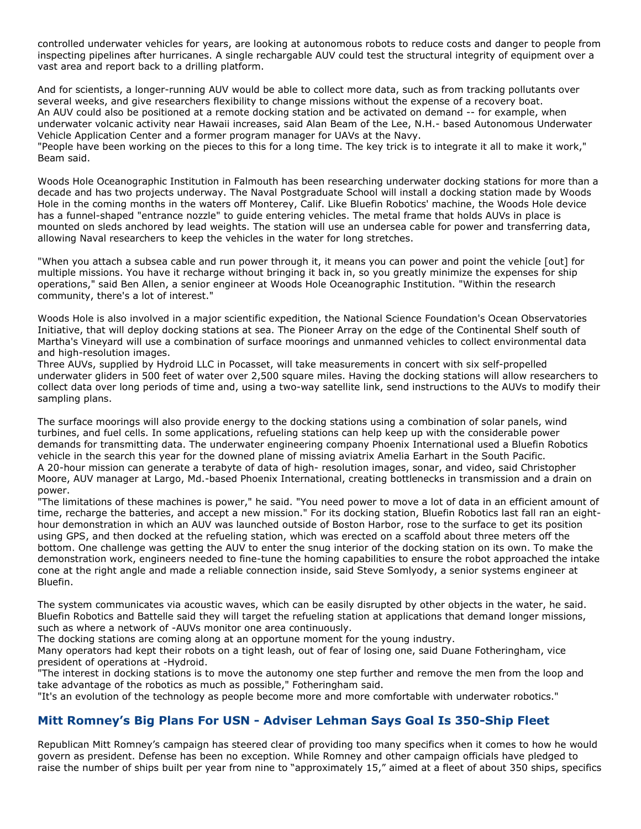controlled underwater vehicles for years, are looking at autonomous robots to reduce costs and danger to people from inspecting pipelines after hurricanes. A single rechargable AUV could test the structural integrity of equipment over a vast area and report back to a drilling platform.

And for scientists, a longer-running AUV would be able to collect more data, such as from tracking pollutants over several weeks, and give researchers flexibility to change missions without the expense of a recovery boat. An AUV could also be positioned at a remote docking station and be activated on demand -- for example, when underwater volcanic activity near Hawaii increases, said Alan Beam of the Lee, N.H.- based Autonomous Underwater Vehicle Application Center and a former program manager for UAVs at the Navy. "People have been working on the pieces to this for a long time. The key trick is to integrate it all to make it work," Beam said.

Woods Hole Oceanographic Institution in Falmouth has been researching underwater docking stations for more than a decade and has two projects underway. The Naval Postgraduate School will install a docking station made by Woods Hole in the coming months in the waters off Monterey, Calif. Like Bluefin Robotics' machine, the Woods Hole device has a funnel-shaped "entrance nozzle" to guide entering vehicles. The metal frame that holds AUVs in place is mounted on sleds anchored by lead weights. The station will use an undersea cable for power and transferring data, allowing Naval researchers to keep the vehicles in the water for long stretches.

"When you attach a subsea cable and run power through it, it means you can power and point the vehicle [out] for multiple missions. You have it recharge without bringing it back in, so you greatly minimize the expenses for ship operations," said Ben Allen, a senior engineer at Woods Hole Oceanographic Institution. "Within the research community, there's a lot of interest."

Woods Hole is also involved in a major scientific expedition, the National Science Foundation's Ocean Observatories Initiative, that will deploy docking stations at sea. The Pioneer Array on the edge of the Continental Shelf south of Martha's Vineyard will use a combination of surface moorings and unmanned vehicles to collect environmental data and high-resolution images.

Three AUVs, supplied by Hydroid LLC in Pocasset, will take measurements in concert with six self-propelled underwater gliders in 500 feet of water over 2,500 square miles. Having the docking stations will allow researchers to collect data over long periods of time and, using a two-way satellite link, send instructions to the AUVs to modify their sampling plans.

The surface moorings will also provide energy to the docking stations using a combination of solar panels, wind turbines, and fuel cells. In some applications, refueling stations can help keep up with the considerable power demands for transmitting data. The underwater engineering company Phoenix International used a Bluefin Robotics vehicle in the search this year for the downed plane of missing aviatrix Amelia Earhart in the South Pacific. A 20-hour mission can generate a terabyte of data of high- resolution images, sonar, and video, said Christopher Moore, AUV manager at Largo, Md.-based Phoenix International, creating bottlenecks in transmission and a drain on power.

"The limitations of these machines is power," he said. "You need power to move a lot of data in an efficient amount of time, recharge the batteries, and accept a new mission." For its docking station, Bluefin Robotics last fall ran an eighthour demonstration in which an AUV was launched outside of Boston Harbor, rose to the surface to get its position using GPS, and then docked at the refueling station, which was erected on a scaffold about three meters off the bottom. One challenge was getting the AUV to enter the snug interior of the docking station on its own. To make the demonstration work, engineers needed to fine-tune the homing capabilities to ensure the robot approached the intake cone at the right angle and made a reliable connection inside, said Steve Somlyody, a senior systems engineer at Bluefin.

The system communicates via acoustic waves, which can be easily disrupted by other objects in the water, he said. Bluefin Robotics and Battelle said they will target the refueling station at applications that demand longer missions, such as where a network of -AUVs monitor one area continuously.

The docking stations are coming along at an opportune moment for the young industry.

Many operators had kept their robots on a tight leash, out of fear of losing one, said Duane Fotheringham, vice president of operations at -Hydroid.

"The interest in docking stations is to move the autonomy one step further and remove the men from the loop and take advantage of the robotics as much as possible," Fotheringham said.

"It's an evolution of the technology as people become more and more comfortable with underwater robotics."

# **Mitt Romney's Big Plans For USN - Adviser Lehman Says Goal Is 350-Ship Fleet**

Republican Mitt Romney's campaign has steered clear of providing too many specifics when it comes to how he would govern as president. Defense has been no exception. While Romney and other campaign officials have pledged to raise the number of ships built per year from nine to "approximately 15," aimed at a fleet of about 350 ships, specifics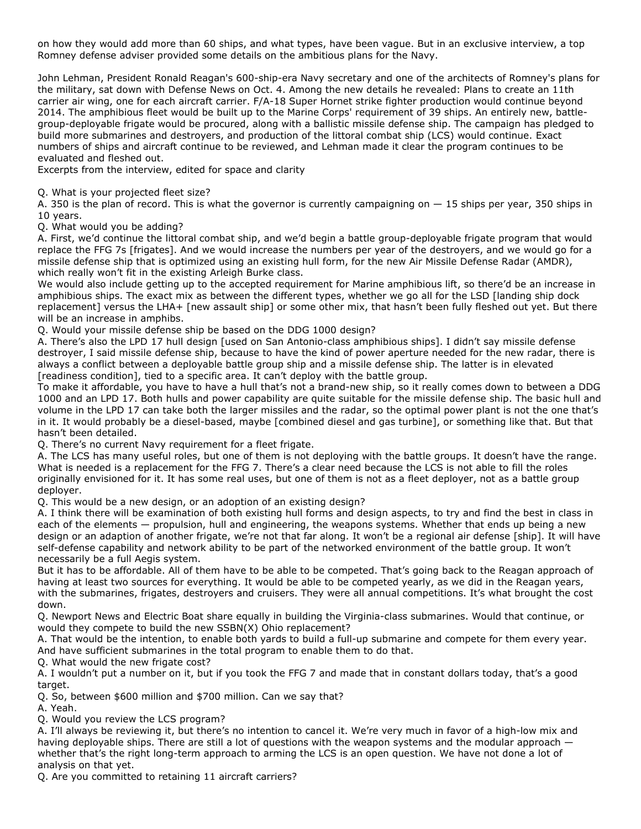on how they would add more than 60 ships, and what types, have been vague. But in an exclusive interview, a top Romney defense adviser provided some details on the ambitious plans for the Navy.

John Lehman, President Ronald Reagan's 600-ship-era Navy secretary and one of the architects of Romney's plans for the military, sat down with Defense News on Oct. 4. Among the new details he revealed: Plans to create an 11th carrier air wing, one for each aircraft carrier. F/A-18 Super Hornet strike fighter production would continue beyond 2014. The amphibious fleet would be built up to the Marine Corps' requirement of 39 ships. An entirely new, battlegroup-deployable frigate would be procured, along with a ballistic missile defense ship. The campaign has pledged to build more submarines and destroyers, and production of the littoral combat ship (LCS) would continue. Exact numbers of ships and aircraft continue to be reviewed, and Lehman made it clear the program continues to be evaluated and fleshed out.

Excerpts from the interview, edited for space and clarity

Q. What is your projected fleet size?

A. 350 is the plan of record. This is what the governor is currently campaigning on  $-15$  ships per year, 350 ships in 10 years.

Q. What would you be adding?

A. First, we'd continue the littoral combat ship, and we'd begin a battle group-deployable frigate program that would replace the FFG 7s [frigates]. And we would increase the numbers per year of the destroyers, and we would go for a missile defense ship that is optimized using an existing hull form, for the new Air Missile Defense Radar (AMDR), which really won't fit in the existing Arleigh Burke class.

We would also include getting up to the accepted requirement for Marine amphibious lift, so there'd be an increase in amphibious ships. The exact mix as between the different types, whether we go all for the LSD [landing ship dock replacement] versus the LHA+ [new assault ship] or some other mix, that hasn't been fully fleshed out yet. But there will be an increase in amphibs.

Q. Would your missile defense ship be based on the DDG 1000 design?

A. There's also the LPD 17 hull design [used on San Antonio-class amphibious ships]. I didn't say missile defense destroyer, I said missile defense ship, because to have the kind of power aperture needed for the new radar, there is always a conflict between a deployable battle group ship and a missile defense ship. The latter is in elevated [readiness condition], tied to a specific area. It can't deploy with the battle group.

To make it affordable, you have to have a hull that's not a brand-new ship, so it really comes down to between a DDG 1000 and an LPD 17. Both hulls and power capability are quite suitable for the missile defense ship. The basic hull and volume in the LPD 17 can take both the larger missiles and the radar, so the optimal power plant is not the one that's in it. It would probably be a diesel-based, maybe [combined diesel and gas turbine], or something like that. But that hasn't been detailed.

Q. There's no current Navy requirement for a fleet frigate.

A. The LCS has many useful roles, but one of them is not deploying with the battle groups. It doesn't have the range. What is needed is a replacement for the FFG 7. There's a clear need because the LCS is not able to fill the roles originally envisioned for it. It has some real uses, but one of them is not as a fleet deployer, not as a battle group deployer.

Q. This would be a new design, or an adoption of an existing design?

A. I think there will be examination of both existing hull forms and design aspects, to try and find the best in class in each of the elements — propulsion, hull and engineering, the weapons systems. Whether that ends up being a new design or an adaption of another frigate, we're not that far along. It won't be a regional air defense [ship]. It will have self-defense capability and network ability to be part of the networked environment of the battle group. It won't necessarily be a full Aegis system.

But it has to be affordable. All of them have to be able to be competed. That's going back to the Reagan approach of having at least two sources for everything. It would be able to be competed yearly, as we did in the Reagan years, with the submarines, frigates, destroyers and cruisers. They were all annual competitions. It's what brought the cost down.

Q. Newport News and Electric Boat share equally in building the Virginia-class submarines. Would that continue, or would they compete to build the new SSBN(X) Ohio replacement?

A. That would be the intention, to enable both yards to build a full-up submarine and compete for them every year. And have sufficient submarines in the total program to enable them to do that.

Q. What would the new frigate cost?

A. I wouldn't put a number on it, but if you took the FFG 7 and made that in constant dollars today, that's a good target.

Q. So, between \$600 million and \$700 million. Can we say that?

A. Yeah.

Q. Would you review the LCS program?

A. I'll always be reviewing it, but there's no intention to cancel it. We're very much in favor of a high-low mix and having deployable ships. There are still a lot of questions with the weapon systems and the modular approach whether that's the right long-term approach to arming the LCS is an open question. We have not done a lot of analysis on that yet.

Q. Are you committed to retaining 11 aircraft carriers?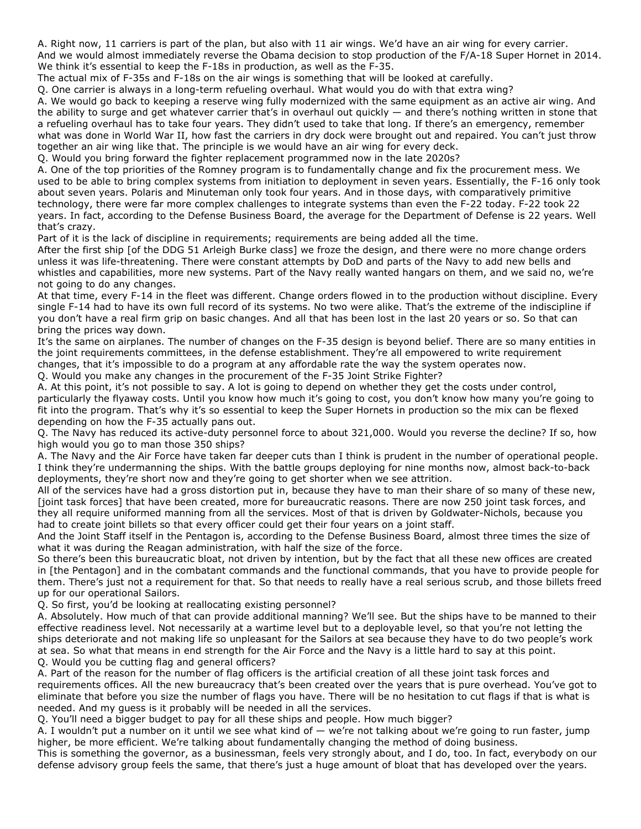A. Right now, 11 carriers is part of the plan, but also with 11 air wings. We'd have an air wing for every carrier. And we would almost immediately reverse the Obama decision to stop production of the F/A-18 Super Hornet in 2014. We think it's essential to keep the F-18s in production, as well as the F-35.

The actual mix of F-35s and F-18s on the air wings is something that will be looked at carefully.

Q. One carrier is always in a long-term refueling overhaul. What would you do with that extra wing?

A. We would go back to keeping a reserve wing fully modernized with the same equipment as an active air wing. And the ability to surge and get whatever carrier that's in overhaul out quickly — and there's nothing written in stone that a refueling overhaul has to take four years. They didn't used to take that long. If there's an emergency, remember what was done in World War II, how fast the carriers in dry dock were brought out and repaired. You can't just throw together an air wing like that. The principle is we would have an air wing for every deck.

Q. Would you bring forward the fighter replacement programmed now in the late 2020s?

A. One of the top priorities of the Romney program is to fundamentally change and fix the procurement mess. We used to be able to bring complex systems from initiation to deployment in seven years. Essentially, the F-16 only took about seven years. Polaris and Minuteman only took four years. And in those days, with comparatively primitive technology, there were far more complex challenges to integrate systems than even the F-22 today. F-22 took 22 years. In fact, according to the Defense Business Board, the average for the Department of Defense is 22 years. Well that's crazy.

Part of it is the lack of discipline in requirements; requirements are being added all the time.

After the first ship [of the DDG 51 Arleigh Burke class] we froze the design, and there were no more change orders unless it was life-threatening. There were constant attempts by DoD and parts of the Navy to add new bells and whistles and capabilities, more new systems. Part of the Navy really wanted hangars on them, and we said no, we're not going to do any changes.

At that time, every F-14 in the fleet was different. Change orders flowed in to the production without discipline. Every single F-14 had to have its own full record of its systems. No two were alike. That's the extreme of the indiscipline if you don't have a real firm grip on basic changes. And all that has been lost in the last 20 years or so. So that can bring the prices way down.

It's the same on airplanes. The number of changes on the F-35 design is beyond belief. There are so many entities in the joint requirements committees, in the defense establishment. They're all empowered to write requirement changes, that it's impossible to do a program at any affordable rate the way the system operates now.

Q. Would you make any changes in the procurement of the F-35 Joint Strike Fighter?

A. At this point, it's not possible to say. A lot is going to depend on whether they get the costs under control, particularly the flyaway costs. Until you know how much it's going to cost, you don't know how many you're going to fit into the program. That's why it's so essential to keep the Super Hornets in production so the mix can be flexed depending on how the F-35 actually pans out.

Q. The Navy has reduced its active-duty personnel force to about 321,000. Would you reverse the decline? If so, how high would you go to man those 350 ships?

A. The Navy and the Air Force have taken far deeper cuts than I think is prudent in the number of operational people. I think they're undermanning the ships. With the battle groups deploying for nine months now, almost back-to-back deployments, they're short now and they're going to get shorter when we see attrition.

All of the services have had a gross distortion put in, because they have to man their share of so many of these new, [joint task forces] that have been created, more for bureaucratic reasons. There are now 250 joint task forces, and they all require uniformed manning from all the services. Most of that is driven by Goldwater-Nichols, because you had to create joint billets so that every officer could get their four years on a joint staff.

And the Joint Staff itself in the Pentagon is, according to the Defense Business Board, almost three times the size of what it was during the Reagan administration, with half the size of the force.

So there's been this bureaucratic bloat, not driven by intention, but by the fact that all these new offices are created in [the Pentagon] and in the combatant commands and the functional commands, that you have to provide people for them. There's just not a requirement for that. So that needs to really have a real serious scrub, and those billets freed up for our operational Sailors.

Q. So first, you'd be looking at reallocating existing personnel?

A. Absolutely. How much of that can provide additional manning? We'll see. But the ships have to be manned to their effective readiness level. Not necessarily at a wartime level but to a deployable level, so that you're not letting the ships deteriorate and not making life so unpleasant for the Sailors at sea because they have to do two people's work at sea. So what that means in end strength for the Air Force and the Navy is a little hard to say at this point. Q. Would you be cutting flag and general officers?

A. Part of the reason for the number of flag officers is the artificial creation of all these joint task forces and requirements offices. All the new bureaucracy that's been created over the years that is pure overhead. You've got to eliminate that before you size the number of flags you have. There will be no hesitation to cut flags if that is what is needed. And my guess is it probably will be needed in all the services.

Q. You'll need a bigger budget to pay for all these ships and people. How much bigger?

A. I wouldn't put a number on it until we see what kind of — we're not talking about we're going to run faster, jump higher, be more efficient. We're talking about fundamentally changing the method of doing business.

This is something the governor, as a businessman, feels very strongly about, and I do, too. In fact, everybody on our defense advisory group feels the same, that there's just a huge amount of bloat that has developed over the years.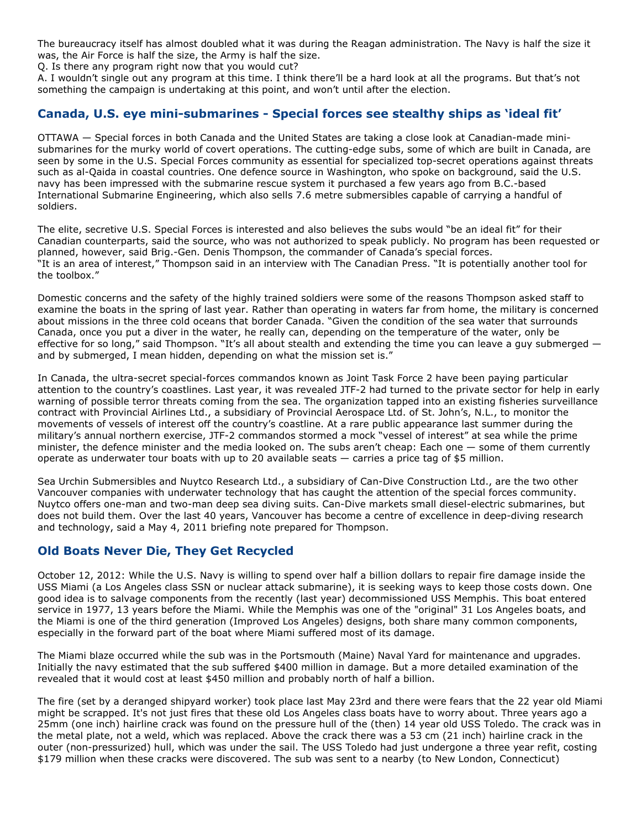The bureaucracy itself has almost doubled what it was during the Reagan administration. The Navy is half the size it was, the Air Force is half the size, the Army is half the size.

Q. Is there any program right now that you would cut?

A. I wouldn't single out any program at this time. I think there'll be a hard look at all the programs. But that's not something the campaign is undertaking at this point, and won't until after the election.

# **Canada, U.S. eye mini-submarines - Special forces see stealthy ships as 'ideal fit'**

OTTAWA — Special forces in both Canada and the United States are taking a close look at Canadian-made minisubmarines for the murky world of covert operations. The cutting-edge subs, some of which are built in Canada, are seen by some in the U.S. Special Forces community as essential for specialized top-secret operations against threats such as al-Qaida in coastal countries. One defence source in Washington, who spoke on background, said the U.S. navy has been impressed with the submarine rescue system it purchased a few years ago from B.C.-based International Submarine Engineering, which also sells 7.6 metre submersibles capable of carrying a handful of soldiers.

The elite, secretive U.S. Special Forces is interested and also believes the subs would "be an ideal fit" for their Canadian counterparts, said the source, who was not authorized to speak publicly. No program has been requested or planned, however, said Brig.-Gen. Denis Thompson, the commander of Canada's special forces. "It is an area of interest," Thompson said in an interview with The Canadian Press. "It is potentially another tool for the toolbox."

Domestic concerns and the safety of the highly trained soldiers were some of the reasons Thompson asked staff to examine the boats in the spring of last year. Rather than operating in waters far from home, the military is concerned about missions in the three cold oceans that border Canada. "Given the condition of the sea water that surrounds Canada, once you put a diver in the water, he really can, depending on the temperature of the water, only be effective for so long," said Thompson. "It's all about stealth and extending the time you can leave a guy submerged and by submerged, I mean hidden, depending on what the mission set is."

In Canada, the ultra-secret special-forces commandos known as Joint Task Force 2 have been paying particular attention to the country's coastlines. Last year, it was revealed JTF-2 had turned to the private sector for help in early warning of possible terror threats coming from the sea. The organization tapped into an existing fisheries surveillance contract with Provincial Airlines Ltd., a subsidiary of Provincial Aerospace Ltd. of St. John's, N.L., to monitor the movements of vessels of interest off the country's coastline. At a rare public appearance last summer during the military's annual northern exercise, JTF-2 commandos stormed a mock "vessel of interest" at sea while the prime minister, the defence minister and the media looked on. The subs aren't cheap: Each one  $-$  some of them currently operate as underwater tour boats with up to 20 available seats — carries a price tag of \$5 million.

Sea Urchin Submersibles and Nuytco Research Ltd., a subsidiary of Can-Dive Construction Ltd., are the two other Vancouver companies with underwater technology that has caught the attention of the special forces community. Nuytco offers one-man and two-man deep sea diving suits. Can-Dive markets small diesel-electric submarines, but does not build them. Over the last 40 years, Vancouver has become a centre of excellence in deep-diving research and technology, said a May 4, 2011 briefing note prepared for Thompson.

# **Old Boats Never Die, They Get Recycled**

October 12, 2012: While the U.S. Navy is willing to spend over half a billion dollars to repair fire damage inside the USS Miami (a Los Angeles class SSN or nuclear attack submarine), it is seeking ways to keep those costs down. One good idea is to salvage components from the recently (last year) decommissioned USS Memphis. This boat entered service in 1977, 13 years before the Miami. While the Memphis was one of the "original" 31 Los Angeles boats, and the Miami is one of the third generation (Improved Los Angeles) designs, both share many common components, especially in the forward part of the boat where Miami suffered most of its damage.

The Miami blaze occurred while the sub was in the Portsmouth (Maine) Naval Yard for maintenance and upgrades. Initially the navy estimated that the sub suffered \$400 million in damage. But a more detailed examination of the revealed that it would cost at least \$450 million and probably north of half a billion.

The fire (set by a deranged shipyard worker) took place last May 23rd and there were fears that the 22 year old Miami might be scrapped. It's not just fires that these old Los Angeles class boats have to worry about. Three years ago a 25mm (one inch) hairline crack was found on the pressure hull of the (then) 14 year old USS Toledo. The crack was in the metal plate, not a weld, which was replaced. Above the crack there was a 53 cm (21 inch) hairline crack in the outer (non-pressurized) hull, which was under the sail. The USS Toledo had just undergone a three year refit, costing \$179 million when these cracks were discovered. The sub was sent to a nearby (to New London, Connecticut)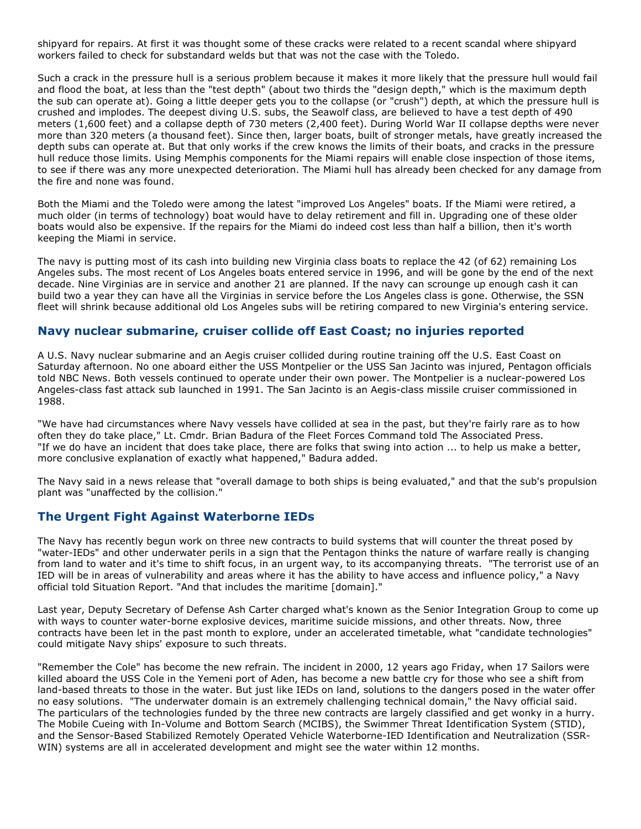shipyard for repairs. At first it was thought some of these cracks were related to a recent scandal where shipyard workers failed to check for substandard welds but that was not the case with the Toledo.

Such a crack in the pressure hull is a serious problem because it makes it more likely that the pressure hull would fail and flood the boat, at less than the "test depth" (about two thirds the "design depth," which is the maximum depth the sub can operate at). Going a little deeper gets you to the collapse (or "crush") depth, at which the pressure hull is crushed and implodes. The deepest diving U.S. subs, the Seawolf class, are believed to have a test depth of 490 meters (1,600 feet) and a collapse depth of 730 meters (2,400 feet). During World War II collapse depths were never more than 320 meters (a thousand feet). Since then, larger boats, built of stronger metals, have greatly increased the depth subs can operate at. But that only works if the crew knows the limits of their boats, and cracks in the pressure hull reduce those limits. Using Memphis components for the Miami repairs will enable close inspection of those items, to see if there was any more unexpected deterioration. The Miami hull has already been checked for any damage from the fire and none was found.

Both the Miami and the Toledo were among the latest "improved Los Angeles" boats. If the Miami were retired, a much older (in terms of technology) boat would have to delay retirement and fill in. Upgrading one of these older boats would also be expensive. If the repairs for the Miami do indeed cost less than half a billion, then it's worth keeping the Miami in service.

The navy is putting most of its cash into building new Virginia class boats to replace the 42 (of 62) remaining Los Angeles subs. The most recent of Los Angeles boats entered service in 1996, and will be gone by the end of the next decade. Nine Virginias are in service and another 21 are planned. If the navy can scrounge up enough cash it can build two a year they can have all the Virginias in service before the Los Angeles class is gone. Otherwise, the SSN fleet will shrink because additional old Los Angeles subs will be retiring compared to new Virginia's entering service.

## **Navy nuclear submarine, cruiser collide off East Coast; no injuries reported**

A U.S. Navy nuclear submarine and an Aegis cruiser collided during routine training off the U.S. East Coast on Saturday afternoon. No one aboard either the USS Montpelier or the USS San Jacinto was injured, Pentagon officials told NBC News. Both vessels continued to operate under their own power. The Montpelier is a nuclear-powered Los Angeles-class fast attack sub launched in 1991. The San Jacinto is an Aegis-class missile cruiser commissioned in 1988.

"We have had circumstances where Navy vessels have collided at sea in the past, but they're fairly rare as to how often they do take place," Lt. Cmdr. Brian Badura of the Fleet Forces Command told The Associated Press. "If we do have an incident that does take place, there are folks that swing into action ... to help us make a better, more conclusive explanation of exactly what happened," Badura added.

The Navy said in a news release that "overall damage to both ships is being evaluated," and that the sub's propulsion plant was "unaffected by the collision."

# **The Urgent Fight Against Waterborne IEDs**

The Navy has recently begun work on three new contracts to build systems that will counter the threat posed by "water-IEDs" and other underwater perils in a sign that the Pentagon thinks the nature of warfare really is changing from land to water and it's time to shift focus, in an urgent way, to its accompanying threats. "The terrorist use of an IED will be in areas of vulnerability and areas where it has the ability to have access and influence policy," a Navy official told Situation Report. "And that includes the maritime [domain]."

Last year, Deputy Secretary of Defense Ash Carter charged what's known as the Senior Integration Group to come up with ways to counter water-borne explosive devices, maritime suicide missions, and other threats. Now, three contracts have been let in the past month to explore, under an accelerated timetable, what "candidate technologies" could mitigate Navy ships' exposure to such threats.

"Remember the Cole" has become the new refrain. The incident in 2000, 12 years ago Friday, when 17 Sailors were killed aboard the USS Cole in the Yemeni port of Aden, has become a new battle cry for those who see a shift from land-based threats to those in the water. But just like IEDs on land, solutions to the dangers posed in the water offer no easy solutions. "The underwater domain is an extremely challenging technical domain," the Navy official said. The particulars of the technologies funded by the three new contracts are largely classified and get wonky in a hurry. The Mobile Cueing with In-Volume and Bottom Search (MCIBS), the Swimmer Threat Identification System (STID), and the Sensor-Based Stabilized Remotely Operated Vehicle Waterborne-IED Identification and Neutralization (SSR-WIN) systems are all in accelerated development and might see the water within 12 months.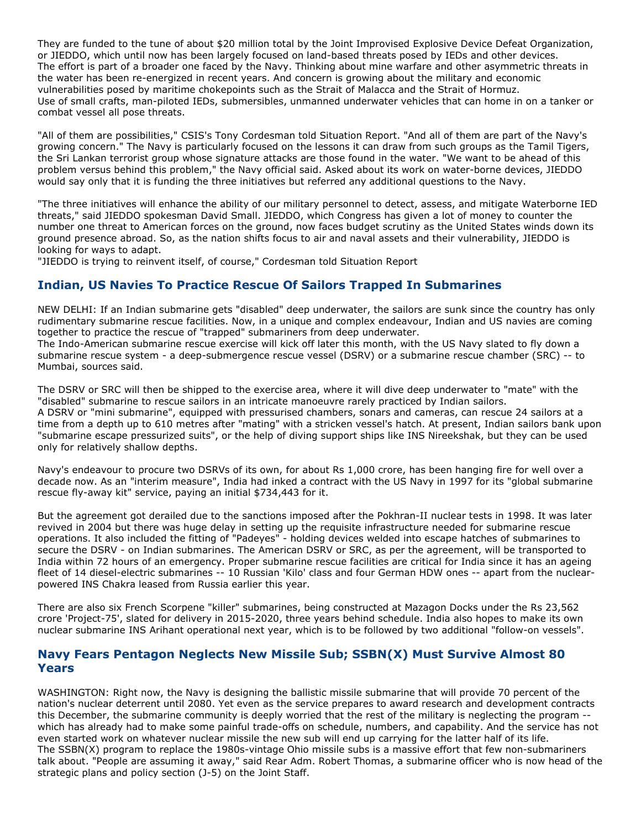They are funded to the tune of about \$20 million total by the Joint Improvised Explosive Device Defeat Organization, or JIEDDO, which until now has been largely focused on land-based threats posed by IEDs and other devices. The effort is part of a broader one faced by the Navy. Thinking about mine warfare and other asymmetric threats in the water has been re-energized in recent years. And concern is growing about the military and economic vulnerabilities posed by maritime chokepoints such as the Strait of Malacca and the Strait of Hormuz. Use of small crafts, man-piloted IEDs, submersibles, unmanned underwater vehicles that can home in on a tanker or combat vessel all pose threats.

"All of them are possibilities," CSIS's Tony Cordesman told Situation Report. "And all of them are part of the Navy's growing concern." The Navy is particularly focused on the lessons it can draw from such groups as the Tamil Tigers, the Sri Lankan terrorist group whose signature attacks are those found in the water. "We want to be ahead of this problem versus behind this problem," the Navy official said. Asked about its work on water-borne devices, JIEDDO would say only that it is funding the three initiatives but referred any additional questions to the Navy.

"The three initiatives will enhance the ability of our military personnel to detect, assess, and mitigate Waterborne IED threats," said JIEDDO spokesman David Small. JIEDDO, which Congress has given a lot of money to counter the number one threat to American forces on the ground, now faces budget scrutiny as the United States winds down its ground presence abroad. So, as the nation shifts focus to air and naval assets and their vulnerability, JIEDDO is looking for ways to adapt.

"JIEDDO is trying to reinvent itself, of course," Cordesman told Situation Report

# **Indian, US Navies To Practice Rescue Of Sailors Trapped In Submarines**

NEW DELHI: If an Indian submarine gets "disabled" deep underwater, the sailors are sunk since the country has only rudimentary submarine rescue facilities. Now, in a unique and complex endeavour, Indian and US navies are coming together to practice the rescue of "trapped" submariners from deep underwater.

The Indo-American submarine rescue exercise will kick off later this month, with the US Navy slated to fly down a submarine rescue system - a deep-submergence rescue vessel (DSRV) or a submarine rescue chamber (SRC) -- to Mumbai, sources said.

The DSRV or SRC will then be shipped to the exercise area, where it will dive deep underwater to "mate" with the "disabled" submarine to rescue sailors in an intricate manoeuvre rarely practiced by Indian sailors.

A DSRV or "mini submarine", equipped with pressurised chambers, sonars and cameras, can rescue 24 sailors at a time from a depth up to 610 metres after "mating" with a stricken vessel's hatch. At present, Indian sailors bank upon "submarine escape pressurized suits", or the help of diving support ships like INS Nireekshak, but they can be used only for relatively shallow depths.

Navy's endeavour to procure two DSRVs of its own, for about Rs 1,000 crore, has been hanging fire for well over a decade now. As an "interim measure", India had inked a contract with the US Navy in 1997 for its "global submarine rescue fly-away kit" service, paying an initial \$734,443 for it.

But the agreement got derailed due to the sanctions imposed after the Pokhran-II nuclear tests in 1998. It was later revived in 2004 but there was huge delay in setting up the requisite infrastructure needed for submarine rescue operations. It also included the fitting of "Padeyes" - holding devices welded into escape hatches of submarines to secure the DSRV - on Indian submarines. The American DSRV or SRC, as per the agreement, will be transported to India within 72 hours of an emergency. Proper submarine rescue facilities are critical for India since it has an ageing fleet of 14 diesel-electric submarines -- 10 Russian 'Kilo' class and four German HDW ones -- apart from the nuclearpowered INS Chakra leased from Russia earlier this year.

There are also six French Scorpene "killer" submarines, being constructed at Mazagon Docks under the Rs 23,562 crore 'Project-75', slated for delivery in 2015-2020, three years behind schedule. India also hopes to make its own nuclear submarine INS Arihant operational next year, which is to be followed by two additional "follow-on vessels".

# **Navy Fears Pentagon Neglects New Missile Sub; SSBN(X) Must Survive Almost 80 Years**

WASHINGTON: Right now, the Navy is designing the ballistic missile submarine that will provide 70 percent of the nation's nuclear deterrent until 2080. Yet even as the service prepares to award research and development contracts this December, the submarine community is deeply worried that the rest of the military is neglecting the program - which has already had to make some painful trade-offs on schedule, numbers, and capability. And the service has not even started work on whatever nuclear missile the new sub will end up carrying for the latter half of its life. The SSBN(X) program to replace the 1980s-vintage Ohio missile subs is a massive effort that few non-submariners talk about. "People are assuming it away," said Rear Adm. Robert Thomas, a submarine officer who is now head of the strategic plans and policy section (J-5) on the Joint Staff.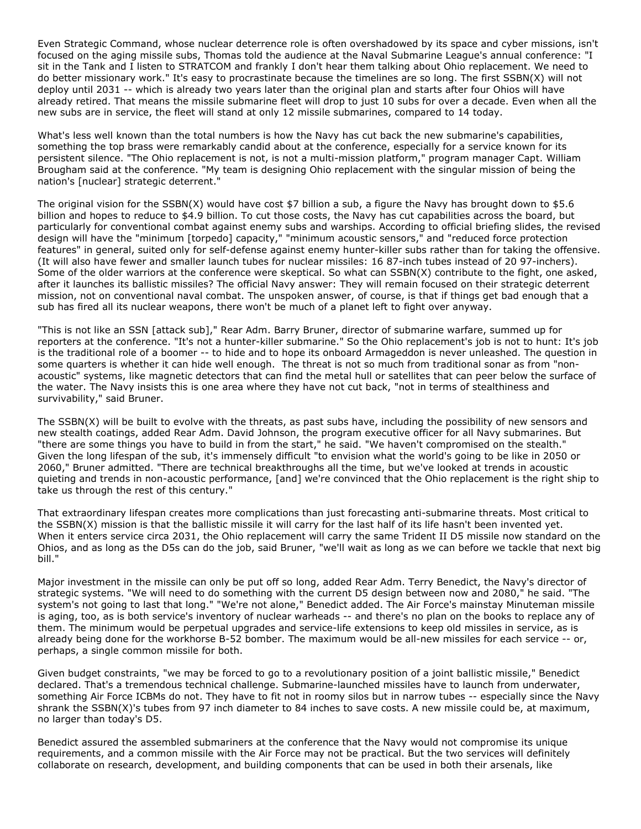Even Strategic Command, whose nuclear deterrence role is often overshadowed by its space and cyber missions, isn't focused on the aging missile subs, Thomas told the audience at the Naval Submarine League's annual conference: "I sit in the Tank and I listen to STRATCOM and frankly I don't hear them talking about Ohio replacement. We need to do better missionary work." It's easy to procrastinate because the timelines are so long. The first SSBN(X) will not deploy until 2031 -- which is already two years later than the original plan and starts after four Ohios will have already retired. That means the missile submarine fleet will drop to just 10 subs for over a decade. Even when all the new subs are in service, the fleet will stand at only 12 missile submarines, compared to 14 today.

What's less well known than the total numbers is how the Navy has cut back the new submarine's capabilities, something the top brass were remarkably candid about at the conference, especially for a service known for its persistent silence. "The Ohio replacement is not, is not a multi-mission platform," program manager Capt. William Brougham said at the conference. "My team is designing Ohio replacement with the singular mission of being the nation's [nuclear] strategic deterrent."

The original vision for the SSBN(X) would have cost  $$7$  billion a sub, a figure the Navy has brought down to  $$5.6$ billion and hopes to reduce to \$4.9 billion. To cut those costs, the Navy has cut capabilities across the board, but particularly for conventional combat against enemy subs and warships. According to official briefing slides, the revised design will have the "minimum [torpedo] capacity," "minimum acoustic sensors," and "reduced force protection features" in general, suited only for self-defense against enemy hunter-killer subs rather than for taking the offensive. (It will also have fewer and smaller launch tubes for nuclear missiles: 16 87-inch tubes instead of 20 97-inchers). Some of the older warriors at the conference were skeptical. So what can SSBN(X) contribute to the fight, one asked, after it launches its ballistic missiles? The official Navy answer: They will remain focused on their strategic deterrent mission, not on conventional naval combat. The unspoken answer, of course, is that if things get bad enough that a sub has fired all its nuclear weapons, there won't be much of a planet left to fight over anyway.

"This is not like an SSN [attack sub]," Rear Adm. Barry Bruner, director of submarine warfare, summed up for reporters at the conference. "It's not a hunter-killer submarine." So the Ohio replacement's job is not to hunt: It's job is the traditional role of a boomer -- to hide and to hope its onboard Armageddon is never unleashed. The question in some quarters is whether it can hide well enough. The threat is not so much from traditional sonar as from "nonacoustic" systems, like magnetic detectors that can find the metal hull or satellites that can peer below the surface of the water. The Navy insists this is one area where they have not cut back, "not in terms of stealthiness and survivability," said Bruner.

The SSBN(X) will be built to evolve with the threats, as past subs have, including the possibility of new sensors and new stealth coatings, added Rear Adm. David Johnson, the program executive officer for all Navy submarines. But "there are some things you have to build in from the start," he said. "We haven't compromised on the stealth." Given the long lifespan of the sub, it's immensely difficult "to envision what the world's going to be like in 2050 or 2060," Bruner admitted. "There are technical breakthroughs all the time, but we've looked at trends in acoustic quieting and trends in non-acoustic performance, [and] we're convinced that the Ohio replacement is the right ship to take us through the rest of this century."

That extraordinary lifespan creates more complications than just forecasting anti-submarine threats. Most critical to the SSBN(X) mission is that the ballistic missile it will carry for the last half of its life hasn't been invented yet. When it enters service circa 2031, the Ohio replacement will carry the same Trident II D5 missile now standard on the Ohios, and as long as the D5s can do the job, said Bruner, "we'll wait as long as we can before we tackle that next big bill."

Major investment in the missile can only be put off so long, added Rear Adm. Terry Benedict, the Navy's director of strategic systems. "We will need to do something with the current D5 design between now and 2080," he said. "The system's not going to last that long." "We're not alone," Benedict added. The Air Force's mainstay Minuteman missile is aging, too, as is both service's inventory of nuclear warheads -- and there's no plan on the books to replace any of them. The minimum would be perpetual upgrades and service-life extensions to keep old missiles in service, as is already being done for the workhorse B-52 bomber. The maximum would be all-new missiles for each service -- or, perhaps, a single common missile for both.

Given budget constraints, "we may be forced to go to a revolutionary position of a joint ballistic missile," Benedict declared. That's a tremendous technical challenge. Submarine-launched missiles have to launch from underwater, something Air Force ICBMs do not. They have to fit not in roomy silos but in narrow tubes -- especially since the Navy shrank the SSBN(X)'s tubes from 97 inch diameter to 84 inches to save costs. A new missile could be, at maximum, no larger than today's D5.

Benedict assured the assembled submariners at the conference that the Navy would not compromise its unique requirements, and a common missile with the Air Force may not be practical. But the two services will definitely collaborate on research, development, and building components that can be used in both their arsenals, like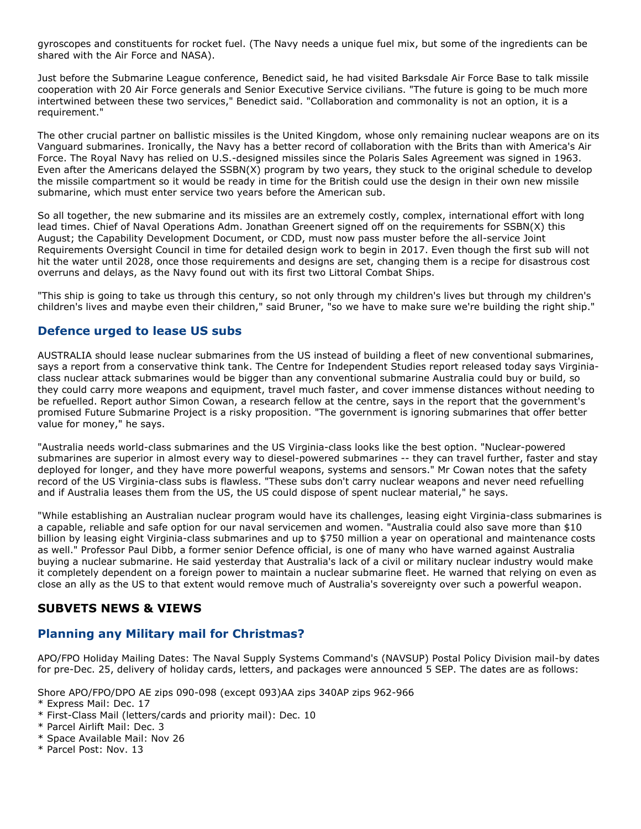gyroscopes and constituents for rocket fuel. (The Navy needs a unique fuel mix, but some of the ingredients can be shared with the Air Force and NASA).

Just before the Submarine League conference, Benedict said, he had visited Barksdale Air Force Base to talk missile cooperation with 20 Air Force generals and Senior Executive Service civilians. "The future is going to be much more intertwined between these two services," Benedict said. "Collaboration and commonality is not an option, it is a requirement."

The other crucial partner on ballistic missiles is the United Kingdom, whose only remaining nuclear weapons are on its Vanguard submarines. Ironically, the Navy has a better record of collaboration with the Brits than with America's Air Force. The Royal Navy has relied on U.S.-designed missiles since the Polaris Sales Agreement was signed in 1963. Even after the Americans delayed the SSBN(X) program by two years, they stuck to the original schedule to develop the missile compartment so it would be ready in time for the British could use the design in their own new missile submarine, which must enter service two years before the American sub.

So all together, the new submarine and its missiles are an extremely costly, complex, international effort with long lead times. Chief of Naval Operations Adm. Jonathan Greenert signed off on the requirements for SSBN(X) this August; the Capability Development Document, or CDD, must now pass muster before the all-service Joint Requirements Oversight Council in time for detailed design work to begin in 2017. Even though the first sub will not hit the water until 2028, once those requirements and designs are set, changing them is a recipe for disastrous cost overruns and delays, as the Navy found out with its first two Littoral Combat Ships.

"This ship is going to take us through this century, so not only through my children's lives but through my children's children's lives and maybe even their children," said Bruner, "so we have to make sure we're building the right ship."

# **Defence urged to lease US subs**

AUSTRALIA should lease nuclear submarines from the US instead of building a fleet of new conventional submarines, says a report from a conservative think tank. The Centre for Independent Studies report released today says Virginiaclass nuclear attack submarines would be bigger than any conventional submarine Australia could buy or build, so they could carry more weapons and equipment, travel much faster, and cover immense distances without needing to be refuelled. Report author Simon Cowan, a research fellow at the centre, says in the report that the government's promised Future Submarine Project is a risky proposition. "The government is ignoring submarines that offer better value for money," he says.

"Australia needs world-class submarines and the US Virginia-class looks like the best option. "Nuclear-powered submarines are superior in almost every way to diesel-powered submarines -- they can travel further, faster and stay deployed for longer, and they have more powerful weapons, systems and sensors." Mr Cowan notes that the safety record of the US Virginia-class subs is flawless. "These subs don't carry nuclear weapons and never need refuelling and if Australia leases them from the US, the US could dispose of spent nuclear material," he says.

"While establishing an Australian nuclear program would have its challenges, leasing eight Virginia-class submarines is a capable, reliable and safe option for our naval servicemen and women. "Australia could also save more than \$10 billion by leasing eight Virginia-class submarines and up to \$750 million a year on operational and maintenance costs as well." Professor Paul Dibb, a former senior Defence official, is one of many who have warned against Australia buying a nuclear submarine. He said yesterday that Australia's lack of a civil or military nuclear industry would make it completely dependent on a foreign power to maintain a nuclear submarine fleet. He warned that relying on even as close an ally as the US to that extent would remove much of Australia's sovereignty over such a powerful weapon.

# **SUBVETS NEWS & VIEWS**

# **Planning any Military mail for Christmas?**

APO/FPO Holiday Mailing Dates: The Naval Supply Systems Command's (NAVSUP) Postal Policy Division mail-by dates for pre-Dec. 25, delivery of holiday cards, letters, and packages were announced 5 SEP. The dates are as follows:

Shore APO/FPO/DPO AE zips 090-098 (except 093)AA zips 340AP zips 962-966

- \* Express Mail: Dec. 17
- \* First-Class Mail (letters/cards and priority mail): Dec. 10
- \* Parcel Airlift Mail: Dec. 3
- \* Space Available Mail: Nov 26
- \* Parcel Post: Nov. 13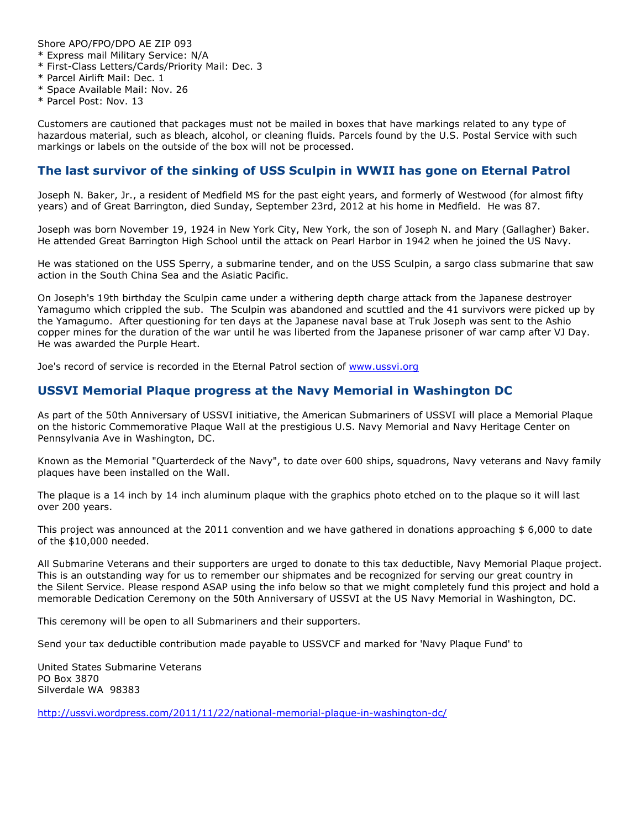Shore APO/FPO/DPO AE ZIP 093

- \* Express mail Military Service: N/A
- \* First-Class Letters/Cards/Priority Mail: Dec. 3
- \* Parcel Airlift Mail: Dec. 1
- \* Space Available Mail: Nov. 26
- \* Parcel Post: Nov. 13

Customers are cautioned that packages must not be mailed in boxes that have markings related to any type of hazardous material, such as bleach, alcohol, or cleaning fluids. Parcels found by the U.S. Postal Service with such markings or labels on the outside of the box will not be processed.

## **The last survivor of the sinking of USS Sculpin in WWII has gone on Eternal Patrol**

Joseph N. Baker, Jr., a resident of Medfield MS for the past eight years, and formerly of Westwood (for almost fifty years) and of Great Barrington, died Sunday, September 23rd, 2012 at his home in Medfield. He was 87.

Joseph was born November 19, 1924 in New York City, New York, the son of Joseph N. and Mary (Gallagher) Baker. He attended Great Barrington High School until the attack on Pearl Harbor in 1942 when he joined the US Navy.

He was stationed on the USS Sperry, a submarine tender, and on the USS Sculpin, a sargo class submarine that saw action in the South China Sea and the Asiatic Pacific.

On Joseph's 19th birthday the Sculpin came under a withering depth charge attack from the Japanese destroyer Yamagumo which crippled the sub. The Sculpin was abandoned and scuttled and the 41 survivors were picked up by the Yamagumo. After questioning for ten days at the Japanese naval base at Truk Joseph was sent to the Ashio copper mines for the duration of the war until he was liberted from the Japanese prisoner of war camp after VJ Day. He was awarded the Purple Heart.

Joe's record of service is recorded in the Eternal Patrol section of [www.ussvi.org](http://www.ussvi.org/)

## **USSVI Memorial Plaque progress at the Navy Memorial in Washington DC**

As part of the 50th Anniversary of USSVI initiative, the American Submariners of USSVI will place a Memorial Plaque on the historic Commemorative Plaque Wall at the prestigious U.S. Navy Memorial and Navy Heritage Center on Pennsylvania Ave in Washington, DC.

Known as the Memorial "Quarterdeck of the Navy", to date over 600 ships, squadrons, Navy veterans and Navy family plaques have been installed on the Wall.

The plaque is a 14 inch by 14 inch aluminum plaque with the graphics photo etched on to the plaque so it will last over 200 years.

This project was announced at the 2011 convention and we have gathered in donations approaching \$ 6,000 to date of the \$10,000 needed.

All Submarine Veterans and their supporters are urged to donate to this tax deductible, Navy Memorial Plaque project. This is an outstanding way for us to remember our shipmates and be recognized for serving our great country in the Silent Service. Please respond ASAP using the info below so that we might completely fund this project and hold a memorable Dedication Ceremony on the 50th Anniversary of USSVI at the US Navy Memorial in Washington, DC.

This ceremony will be open to all Submariners and their supporters.

Send your tax deductible contribution made payable to USSVCF and marked for 'Navy Plaque Fund' to

United States Submarine Veterans PO Box 3870 Silverdale WA 98383

<http://ussvi.wordpress.com/2011/11/22/national-memorial-plaque-in-washington-dc/>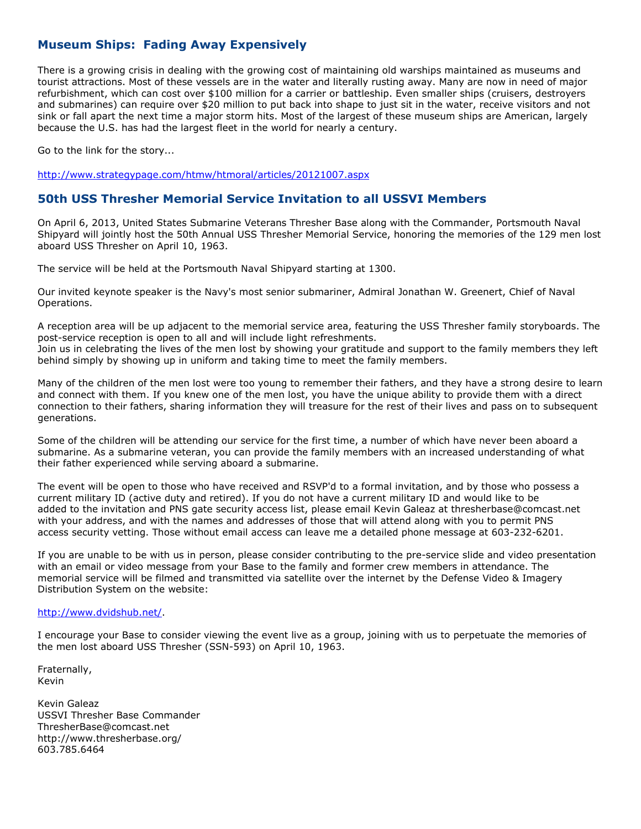# **Museum Ships: Fading Away Expensively**

There is a growing crisis in dealing with the growing cost of maintaining old warships maintained as museums and tourist attractions. Most of these vessels are in the water and literally rusting away. Many are now in need of major refurbishment, which can cost over \$100 million for a carrier or battleship. Even smaller ships (cruisers, destroyers and submarines) can require over \$20 million to put back into shape to just sit in the water, receive visitors and not sink or fall apart the next time a major storm hits. Most of the largest of these museum ships are American, largely because the U.S. has had the largest fleet in the world for nearly a century.

Go to the link for the story...

<http://www.strategypage.com/htmw/htmoral/articles/20121007.aspx>

# **50th USS Thresher Memorial Service Invitation to all USSVI Members**

On April 6, 2013, United States Submarine Veterans Thresher Base along with the Commander, Portsmouth Naval Shipyard will jointly host the 50th Annual USS Thresher Memorial Service, honoring the memories of the 129 men lost aboard USS Thresher on April 10, 1963.

The service will be held at the Portsmouth Naval Shipyard starting at 1300.

Our invited keynote speaker is the Navy's most senior submariner, Admiral Jonathan W. Greenert, Chief of Naval Operations.

A reception area will be up adjacent to the memorial service area, featuring the USS Thresher family storyboards. The post-service reception is open to all and will include light refreshments. Join us in celebrating the lives of the men lost by showing your gratitude and support to the family members they left behind simply by showing up in uniform and taking time to meet the family members.

Many of the children of the men lost were too young to remember their fathers, and they have a strong desire to learn and connect with them. If you knew one of the men lost, you have the unique ability to provide them with a direct connection to their fathers, sharing information they will treasure for the rest of their lives and pass on to subsequent generations.

Some of the children will be attending our service for the first time, a number of which have never been aboard a submarine. As a submarine veteran, you can provide the family members with an increased understanding of what their father experienced while serving aboard a submarine.

The event will be open to those who have received and RSVP'd to a formal invitation, and by those who possess a current military ID (active duty and retired). If you do not have a current military ID and would like to be added to the invitation and PNS gate security access list, please email Kevin Galeaz at thresherbase@comcast.net with your address, and with the names and addresses of those that will attend along with you to permit PNS access security vetting. Those without email access can leave me a detailed phone message at 603-232-6201.

If you are unable to be with us in person, please consider contributing to the pre-service slide and video presentation with an email or video message from your Base to the family and former crew members in attendance. The memorial service will be filmed and transmitted via satellite over the internet by the Defense Video & Imagery Distribution System on the website:

#### [http://www.dvidshub.net/.](http://www.dvidshub.net/)

I encourage your Base to consider viewing the event live as a group, joining with us to perpetuate the memories of the men lost aboard USS Thresher (SSN-593) on April 10, 1963.

Fraternally, Kevin

Kevin Galeaz USSVI Thresher Base Commander ThresherBase@comcast.net http://www.thresherbase.org/ 603.785.6464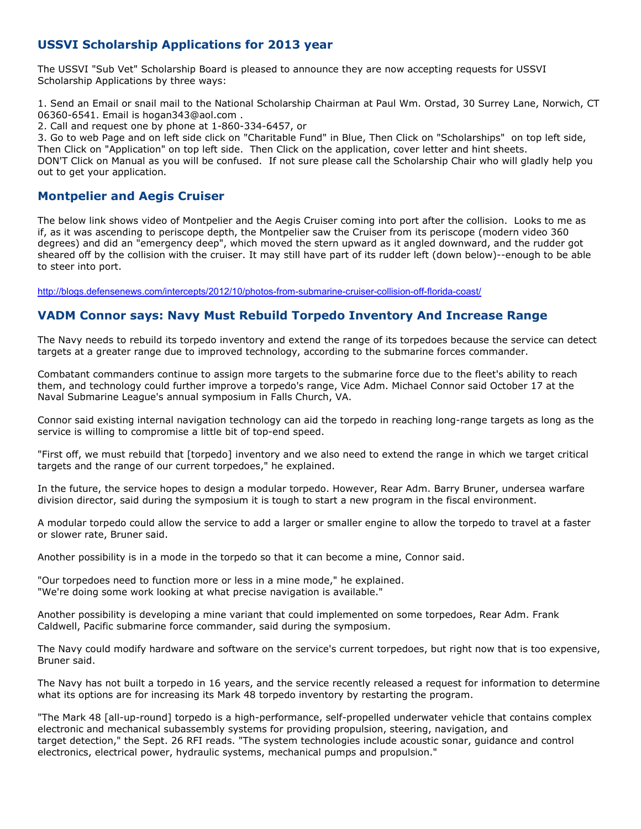# **USSVI Scholarship Applications for 2013 year**

The USSVI "Sub Vet" Scholarship Board is pleased to announce they are now accepting requests for USSVI Scholarship Applications by three ways:

1. Send an Email or snail mail to the National Scholarship Chairman at Paul Wm. Orstad, 30 Surrey Lane, Norwich, CT 06360-6541. Email is hogan343@aol.com .

2. Call and request one by phone at 1-860-334-6457, or

3. Go to web Page and on left side click on "Charitable Fund" in Blue, Then Click on "Scholarships" on top left side, Then Click on "Application" on top left side. Then Click on the application, cover letter and hint sheets. DON'T Click on Manual as you will be confused. If not sure please call the Scholarship Chair who will gladly help you out to get your application.

# **Montpelier and Aegis Cruiser**

The below link shows video of Montpelier and the Aegis Cruiser coming into port after the collision. Looks to me as if, as it was ascending to periscope depth, the Montpelier saw the Cruiser from its periscope (modern video 360 degrees) and did an "emergency deep", which moved the stern upward as it angled downward, and the rudder got sheared off by the collision with the cruiser. It may still have part of its rudder left (down below)--enough to be able to steer into port.

<http://blogs.defensenews.com/intercepts/2012/10/photos-from-submarine-cruiser-collision-off-florida-coast/>

# **VADM Connor says: Navy Must Rebuild Torpedo Inventory And Increase Range**

The Navy needs to rebuild its torpedo inventory and extend the range of its torpedoes because the service can detect targets at a greater range due to improved technology, according to the submarine forces commander.

Combatant commanders continue to assign more targets to the submarine force due to the fleet's ability to reach them, and technology could further improve a torpedo's range, Vice Adm. Michael Connor said October 17 at the Naval Submarine League's annual symposium in Falls Church, VA.

Connor said existing internal navigation technology can aid the torpedo in reaching long-range targets as long as the service is willing to compromise a little bit of top-end speed.

"First off, we must rebuild that [torpedo] inventory and we also need to extend the range in which we target critical targets and the range of our current torpedoes," he explained.

In the future, the service hopes to design a modular torpedo. However, Rear Adm. Barry Bruner, undersea warfare division director, said during the symposium it is tough to start a new program in the fiscal environment.

A modular torpedo could allow the service to add a larger or smaller engine to allow the torpedo to travel at a faster or slower rate, Bruner said.

Another possibility is in a mode in the torpedo so that it can become a mine, Connor said.

"Our torpedoes need to function more or less in a mine mode," he explained. "We're doing some work looking at what precise navigation is available."

Another possibility is developing a mine variant that could implemented on some torpedoes, Rear Adm. Frank Caldwell, Pacific submarine force commander, said during the symposium.

The Navy could modify hardware and software on the service's current torpedoes, but right now that is too expensive, Bruner said.

The Navy has not built a torpedo in 16 years, and the service recently released a request for information to determine what its options are for increasing its Mark 48 torpedo inventory by restarting the program.

"The Mark 48 [all-up-round] torpedo is a high-performance, self-propelled underwater vehicle that contains complex electronic and mechanical subassembly systems for providing propulsion, steering, navigation, and target detection," the Sept. 26 RFI reads. "The system technologies include acoustic sonar, guidance and control electronics, electrical power, hydraulic systems, mechanical pumps and propulsion."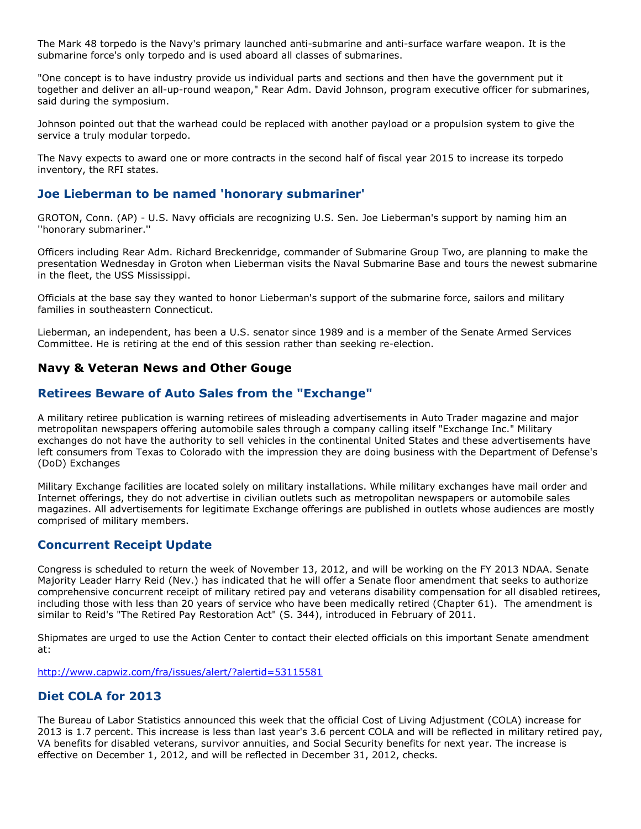The Mark 48 torpedo is the Navy's primary launched anti-submarine and anti-surface warfare weapon. It is the submarine force's only torpedo and is used aboard all classes of submarines.

"One concept is to have industry provide us individual parts and sections and then have the government put it together and deliver an all-up-round weapon," Rear Adm. David Johnson, program executive officer for submarines, said during the symposium.

Johnson pointed out that the warhead could be replaced with another payload or a propulsion system to give the service a truly modular torpedo.

The Navy expects to award one or more contracts in the second half of fiscal year 2015 to increase its torpedo inventory, the RFI states.

## **Joe Lieberman to be named 'honorary submariner'**

GROTON, Conn. (AP) - U.S. Navy officials are recognizing U.S. Sen. Joe Lieberman's support by naming him an ''honorary submariner.''

Officers including Rear Adm. Richard Breckenridge, commander of Submarine Group Two, are planning to make the presentation Wednesday in Groton when Lieberman visits the Naval Submarine Base and tours the newest submarine in the fleet, the USS Mississippi.

Officials at the base say they wanted to honor Lieberman's support of the submarine force, sailors and military families in southeastern Connecticut.

Lieberman, an independent, has been a U.S. senator since 1989 and is a member of the Senate Armed Services Committee. He is retiring at the end of this session rather than seeking re-election.

## **Navy & Veteran News and Other Gouge**

# **Retirees Beware of Auto Sales from the "Exchange"**

A military retiree publication is warning retirees of misleading advertisements in Auto Trader magazine and major metropolitan newspapers offering automobile sales through a company calling itself "Exchange Inc." Military exchanges do not have the authority to sell vehicles in the continental United States and these advertisements have left consumers from Texas to Colorado with the impression they are doing business with the Department of Defense's (DoD) Exchanges

Military Exchange facilities are located solely on military installations. While military exchanges have mail order and Internet offerings, they do not advertise in civilian outlets such as metropolitan newspapers or automobile sales magazines. All advertisements for legitimate Exchange offerings are published in outlets whose audiences are mostly comprised of military members.

# **Concurrent Receipt Update**

Congress is scheduled to return the week of November 13, 2012, and will be working on the FY 2013 NDAA. Senate Majority Leader Harry Reid (Nev.) has indicated that he will offer a Senate floor amendment that seeks to authorize comprehensive concurrent receipt of military retired pay and veterans disability compensation for all disabled retirees, including those with less than 20 years of service who have been medically retired (Chapter 61). The amendment is similar to Reid's "The Retired Pay Restoration Act" (S. 344), introduced in February of 2011.

Shipmates are urged to use the Action Center to contact their elected officials on this important Senate amendment at:

<http://www.capwiz.com/fra/issues/alert/?alertid=53115581>

# **Diet COLA for 2013**

The Bureau of Labor Statistics announced this week that the official Cost of Living Adjustment (COLA) increase for 2013 is 1.7 percent. This increase is less than last year's 3.6 percent COLA and will be reflected in military retired pay, VA benefits for disabled veterans, survivor annuities, and Social Security benefits for next year. The increase is effective on December 1, 2012, and will be reflected in December 31, 2012, checks.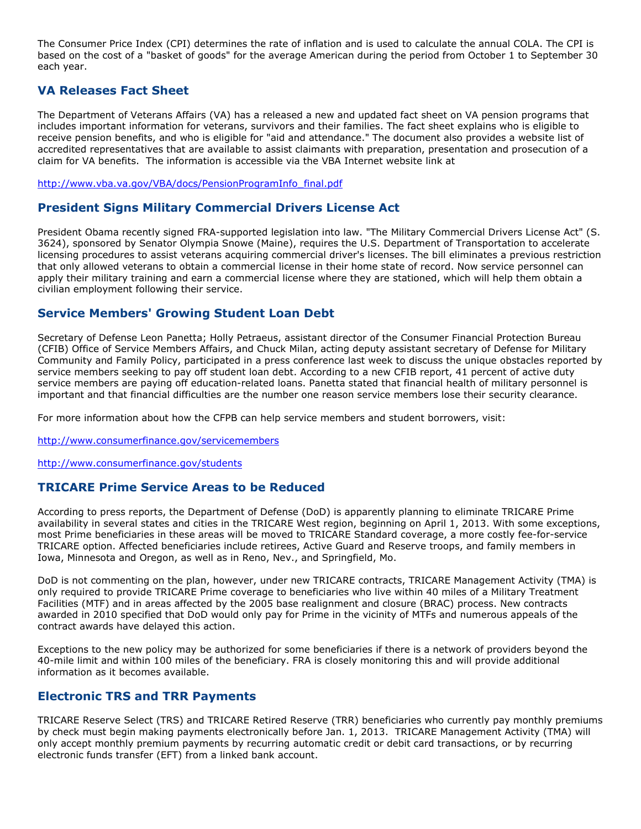The Consumer Price Index (CPI) determines the rate of inflation and is used to calculate the annual COLA. The CPI is based on the cost of a "basket of goods" for the average American during the period from October 1 to September 30 each year.

# **VA Releases Fact Sheet**

The Department of Veterans Affairs (VA) has a released a new and updated fact sheet on VA pension programs that includes important information for veterans, survivors and their families. The fact sheet explains who is eligible to receive pension benefits, and who is eligible for "aid and attendance." The document also provides a website list of accredited representatives that are available to assist claimants with preparation, presentation and prosecution of a claim for VA benefits. The information is accessible via the VBA Internet website link at

[http://www.vba.va.gov/VBA/docs/PensionProgramInfo\\_final.pdf](http://www.vba.va.gov/VBA/docs/PensionProgramInfo_final.pdf) 

# **President Signs Military Commercial Drivers License Act**

President Obama recently signed FRA-supported legislation into law. "The Military Commercial Drivers License Act" (S. 3624), sponsored by Senator Olympia Snowe (Maine), requires the U.S. Department of Transportation to accelerate licensing procedures to assist veterans acquiring commercial driver's licenses. The bill eliminates a previous restriction that only allowed veterans to obtain a commercial license in their home state of record. Now service personnel can apply their military training and earn a commercial license where they are stationed, which will help them obtain a civilian employment following their service.

## **Service Members' Growing Student Loan Debt**

Secretary of Defense Leon Panetta; Holly Petraeus, assistant director of the Consumer Financial Protection Bureau (CFIB) Office of Service Members Affairs, and Chuck Milan, acting deputy assistant secretary of Defense for Military Community and Family Policy, participated in a press conference last week to discuss the unique obstacles reported by service members seeking to pay off student loan debt. According to a new CFIB report, 41 percent of active duty service members are paying off education-related loans. Panetta stated that financial health of military personnel is important and that financial difficulties are the number one reason service members lose their security clearance.

For more information about how the CFPB can help service members and student borrowers, visit:

<http://www.consumerfinance.gov/servicemembers>

<http://www.consumerfinance.gov/students>

## **TRICARE Prime Service Areas to be Reduced**

According to press reports, the Department of Defense (DoD) is apparently planning to eliminate TRICARE Prime availability in several states and cities in the TRICARE West region, beginning on April 1, 2013. With some exceptions, most Prime beneficiaries in these areas will be moved to TRICARE Standard coverage, a more costly fee-for-service TRICARE option. Affected beneficiaries include retirees, Active Guard and Reserve troops, and family members in Iowa, Minnesota and Oregon, as well as in Reno, Nev., and Springfield, Mo.

DoD is not commenting on the plan, however, under new TRICARE contracts, TRICARE Management Activity (TMA) is only required to provide TRICARE Prime coverage to beneficiaries who live within 40 miles of a Military Treatment Facilities (MTF) and in areas affected by the 2005 base realignment and closure (BRAC) process. New contracts awarded in 2010 specified that DoD would only pay for Prime in the vicinity of MTFs and numerous appeals of the contract awards have delayed this action.

Exceptions to the new policy may be authorized for some beneficiaries if there is a network of providers beyond the 40-mile limit and within 100 miles of the beneficiary. FRA is closely monitoring this and will provide additional information as it becomes available.

# **Electronic TRS and TRR Payments**

TRICARE Reserve Select (TRS) and TRICARE Retired Reserve (TRR) beneficiaries who currently pay monthly premiums by check must begin making payments electronically before Jan. 1, 2013. TRICARE Management Activity (TMA) will only accept monthly premium payments by recurring automatic credit or debit card transactions, or by recurring electronic funds transfer (EFT) from a linked bank account.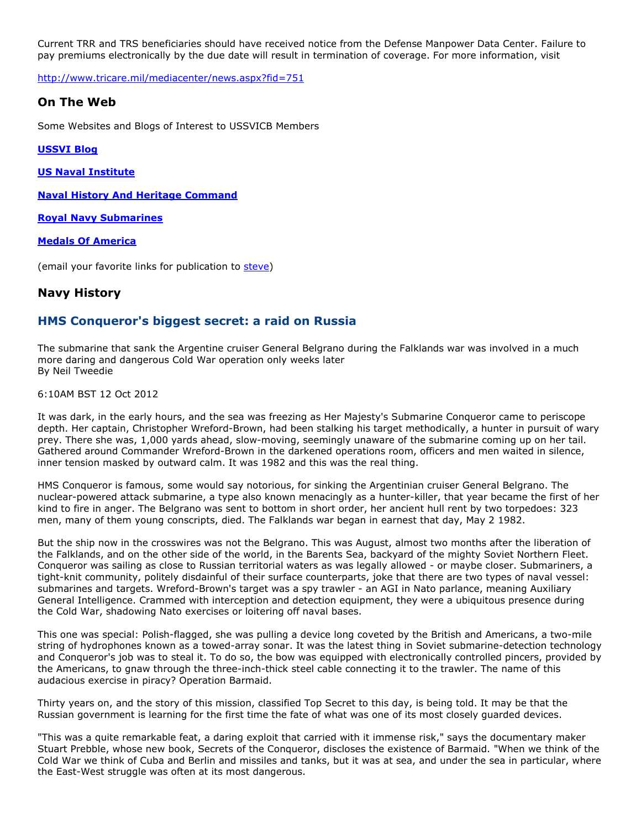Current TRR and TRS beneficiaries should have received notice from the Defense Manpower Data Center. Failure to pay premiums electronically by the due date will result in termination of coverage. For more information, visit

<http://www.tricare.mil/mediacenter/news.aspx?fid=751>

## **On The Web**

Some Websites and Blogs of Interest to USSVICB Members

**[USSVI Blog](http://ussvi.wordpress.com/)**

**[US Naval Institute](http://www.usni.org/)**

**[Naval History And Heritage Command](http://www.history.navy.mil/)**

**[Royal Navy Submarines](http://www.royalnavy.mod.uk/The-Fleet/Submarines)**

**[Medals Of America](http://www.medalsofamerica.com/)** 

(email your favorite links for publication to [steve\)](mailto:steven.morawiec@comcast.net)

## **Navy History**

## **HMS Conqueror's biggest secret: a raid on Russia**

The submarine that sank the Argentine cruiser General Belgrano during the Falklands war was involved in a much more daring and dangerous Cold War operation only weeks later By Neil Tweedie

6:10AM BST 12 Oct 2012

It was dark, in the early hours, and the sea was freezing as Her Majesty's Submarine Conqueror came to periscope depth. Her captain, Christopher Wreford-Brown, had been stalking his target methodically, a hunter in pursuit of wary prey. There she was, 1,000 yards ahead, slow-moving, seemingly unaware of the submarine coming up on her tail. Gathered around Commander Wreford-Brown in the darkened operations room, officers and men waited in silence, inner tension masked by outward calm. It was 1982 and this was the real thing.

HMS Conqueror is famous, some would say notorious, for sinking the Argentinian cruiser General Belgrano. The nuclear-powered attack submarine, a type also known menacingly as a hunter-killer, that year became the first of her kind to fire in anger. The Belgrano was sent to bottom in short order, her ancient hull rent by two torpedoes: 323 men, many of them young conscripts, died. The Falklands war began in earnest that day, May 2 1982.

But the ship now in the crosswires was not the Belgrano. This was August, almost two months after the liberation of the Falklands, and on the other side of the world, in the Barents Sea, backyard of the mighty Soviet Northern Fleet. Conqueror was sailing as close to Russian territorial waters as was legally allowed - or maybe closer. Submariners, a tight-knit community, politely disdainful of their surface counterparts, joke that there are two types of naval vessel: submarines and targets. Wreford-Brown's target was a spy trawler - an AGI in Nato parlance, meaning Auxiliary General Intelligence. Crammed with interception and detection equipment, they were a ubiquitous presence during the Cold War, shadowing Nato exercises or loitering off naval bases.

This one was special: Polish-flagged, she was pulling a device long coveted by the British and Americans, a two-mile string of hydrophones known as a towed-array sonar. It was the latest thing in Soviet submarine-detection technology and Conqueror's job was to steal it. To do so, the bow was equipped with electronically controlled pincers, provided by the Americans, to gnaw through the three-inch-thick steel cable connecting it to the trawler. The name of this audacious exercise in piracy? Operation Barmaid.

Thirty years on, and the story of this mission, classified Top Secret to this day, is being told. It may be that the Russian government is learning for the first time the fate of what was one of its most closely guarded devices.

"This was a quite remarkable feat, a daring exploit that carried with it immense risk," says the documentary maker Stuart Prebble, whose new book, Secrets of the Conqueror, discloses the existence of Barmaid. "When we think of the Cold War we think of Cuba and Berlin and missiles and tanks, but it was at sea, and under the sea in particular, where the East-West struggle was often at its most dangerous.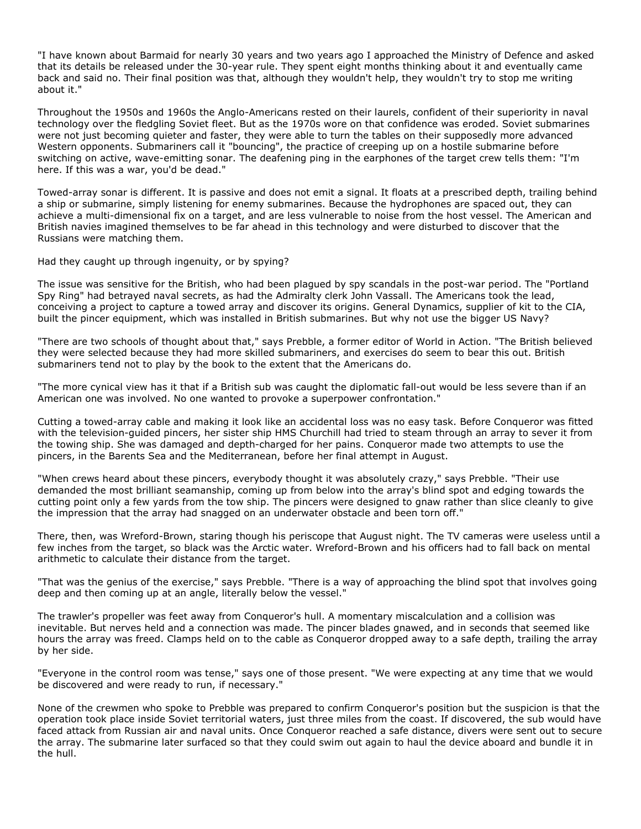"I have known about Barmaid for nearly 30 years and two years ago I approached the Ministry of Defence and asked that its details be released under the 30-year rule. They spent eight months thinking about it and eventually came back and said no. Their final position was that, although they wouldn't help, they wouldn't try to stop me writing about it."

Throughout the 1950s and 1960s the Anglo-Americans rested on their laurels, confident of their superiority in naval technology over the fledgling Soviet fleet. But as the 1970s wore on that confidence was eroded. Soviet submarines were not just becoming quieter and faster, they were able to turn the tables on their supposedly more advanced Western opponents. Submariners call it "bouncing", the practice of creeping up on a hostile submarine before switching on active, wave-emitting sonar. The deafening ping in the earphones of the target crew tells them: "I'm here. If this was a war, you'd be dead."

Towed-array sonar is different. It is passive and does not emit a signal. It floats at a prescribed depth, trailing behind a ship or submarine, simply listening for enemy submarines. Because the hydrophones are spaced out, they can achieve a multi-dimensional fix on a target, and are less vulnerable to noise from the host vessel. The American and British navies imagined themselves to be far ahead in this technology and were disturbed to discover that the Russians were matching them.

Had they caught up through ingenuity, or by spying?

The issue was sensitive for the British, who had been plagued by spy scandals in the post-war period. The "Portland Spy Ring" had betrayed naval secrets, as had the Admiralty clerk John Vassall. The Americans took the lead, conceiving a project to capture a towed array and discover its origins. General Dynamics, supplier of kit to the CIA, built the pincer equipment, which was installed in British submarines. But why not use the bigger US Navy?

"There are two schools of thought about that," says Prebble, a former editor of World in Action. "The British believed they were selected because they had more skilled submariners, and exercises do seem to bear this out. British submariners tend not to play by the book to the extent that the Americans do.

"The more cynical view has it that if a British sub was caught the diplomatic fall-out would be less severe than if an American one was involved. No one wanted to provoke a superpower confrontation."

Cutting a towed-array cable and making it look like an accidental loss was no easy task. Before Conqueror was fitted with the television-guided pincers, her sister ship HMS Churchill had tried to steam through an array to sever it from the towing ship. She was damaged and depth-charged for her pains. Conqueror made two attempts to use the pincers, in the Barents Sea and the Mediterranean, before her final attempt in August.

"When crews heard about these pincers, everybody thought it was absolutely crazy," says Prebble. "Their use demanded the most brilliant seamanship, coming up from below into the array's blind spot and edging towards the cutting point only a few yards from the tow ship. The pincers were designed to gnaw rather than slice cleanly to give the impression that the array had snagged on an underwater obstacle and been torn off."

There, then, was Wreford-Brown, staring though his periscope that August night. The TV cameras were useless until a few inches from the target, so black was the Arctic water. Wreford-Brown and his officers had to fall back on mental arithmetic to calculate their distance from the target.

"That was the genius of the exercise," says Prebble. "There is a way of approaching the blind spot that involves going deep and then coming up at an angle, literally below the vessel."

The trawler's propeller was feet away from Conqueror's hull. A momentary miscalculation and a collision was inevitable. But nerves held and a connection was made. The pincer blades gnawed, and in seconds that seemed like hours the array was freed. Clamps held on to the cable as Conqueror dropped away to a safe depth, trailing the array by her side.

"Everyone in the control room was tense," says one of those present. "We were expecting at any time that we would be discovered and were ready to run, if necessary."

None of the crewmen who spoke to Prebble was prepared to confirm Conqueror's position but the suspicion is that the operation took place inside Soviet territorial waters, just three miles from the coast. If discovered, the sub would have faced attack from Russian air and naval units. Once Conqueror reached a safe distance, divers were sent out to secure the array. The submarine later surfaced so that they could swim out again to haul the device aboard and bundle it in the hull.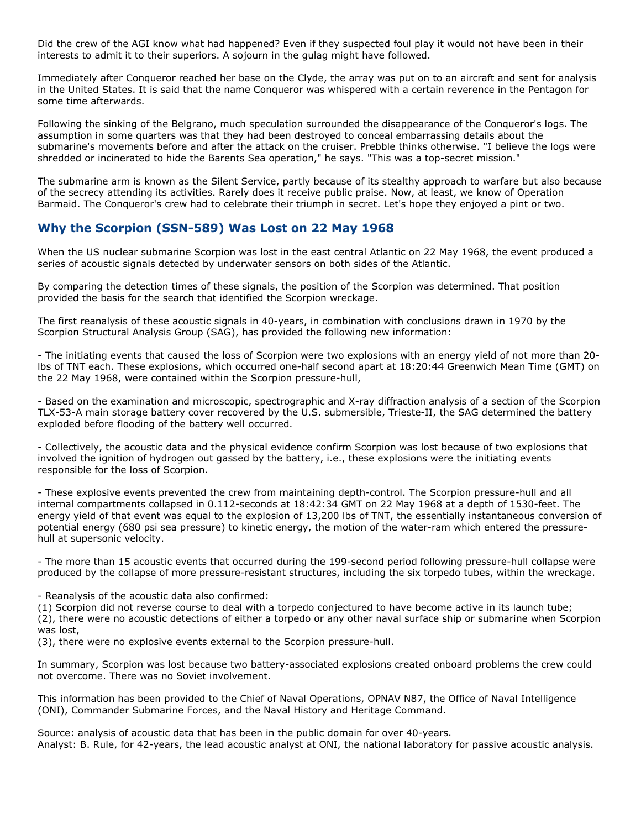Did the crew of the AGI know what had happened? Even if they suspected foul play it would not have been in their interests to admit it to their superiors. A sojourn in the gulag might have followed.

Immediately after Conqueror reached her base on the Clyde, the array was put on to an aircraft and sent for analysis in the United States. It is said that the name Conqueror was whispered with a certain reverence in the Pentagon for some time afterwards.

Following the sinking of the Belgrano, much speculation surrounded the disappearance of the Conqueror's logs. The assumption in some quarters was that they had been destroyed to conceal embarrassing details about the submarine's movements before and after the attack on the cruiser. Prebble thinks otherwise. "I believe the logs were shredded or incinerated to hide the Barents Sea operation," he says. "This was a top-secret mission."

The submarine arm is known as the Silent Service, partly because of its stealthy approach to warfare but also because of the secrecy attending its activities. Rarely does it receive public praise. Now, at least, we know of Operation Barmaid. The Conqueror's crew had to celebrate their triumph in secret. Let's hope they enjoyed a pint or two.

# **Why the Scorpion (SSN-589) Was Lost on 22 May 1968**

When the US nuclear submarine Scorpion was lost in the east central Atlantic on 22 May 1968, the event produced a series of acoustic signals detected by underwater sensors on both sides of the Atlantic.

By comparing the detection times of these signals, the position of the Scorpion was determined. That position provided the basis for the search that identified the Scorpion wreckage.

The first reanalysis of these acoustic signals in 40-years, in combination with conclusions drawn in 1970 by the Scorpion Structural Analysis Group (SAG), has provided the following new information:

- The initiating events that caused the loss of Scorpion were two explosions with an energy yield of not more than 20 lbs of TNT each. These explosions, which occurred one-half second apart at 18:20:44 Greenwich Mean Time (GMT) on the 22 May 1968, were contained within the Scorpion pressure-hull,

- Based on the examination and microscopic, spectrographic and X-ray diffraction analysis of a section of the Scorpion TLX-53-A main storage battery cover recovered by the U.S. submersible, Trieste-II, the SAG determined the battery exploded before flooding of the battery well occurred.

- Collectively, the acoustic data and the physical evidence confirm Scorpion was lost because of two explosions that involved the ignition of hydrogen out gassed by the battery, i.e., these explosions were the initiating events responsible for the loss of Scorpion.

- These explosive events prevented the crew from maintaining depth-control. The Scorpion pressure-hull and all internal compartments collapsed in 0.112-seconds at 18:42:34 GMT on 22 May 1968 at a depth of 1530-feet. The energy yield of that event was equal to the explosion of 13,200 lbs of TNT, the essentially instantaneous conversion of potential energy (680 psi sea pressure) to kinetic energy, the motion of the water-ram which entered the pressurehull at supersonic velocity.

- The more than 15 acoustic events that occurred during the 199-second period following pressure-hull collapse were produced by the collapse of more pressure-resistant structures, including the six torpedo tubes, within the wreckage.

- Reanalysis of the acoustic data also confirmed:

(1) Scorpion did not reverse course to deal with a torpedo conjectured to have become active in its launch tube;

(2), there were no acoustic detections of either a torpedo or any other naval surface ship or submarine when Scorpion was lost,

(3), there were no explosive events external to the Scorpion pressure-hull.

In summary, Scorpion was lost because two battery-associated explosions created onboard problems the crew could not overcome. There was no Soviet involvement.

This information has been provided to the Chief of Naval Operations, OPNAV N87, the Office of Naval Intelligence (ONI), Commander Submarine Forces, and the Naval History and Heritage Command.

Source: analysis of acoustic data that has been in the public domain for over 40-years. Analyst: B. Rule, for 42-years, the lead acoustic analyst at ONI, the national laboratory for passive acoustic analysis.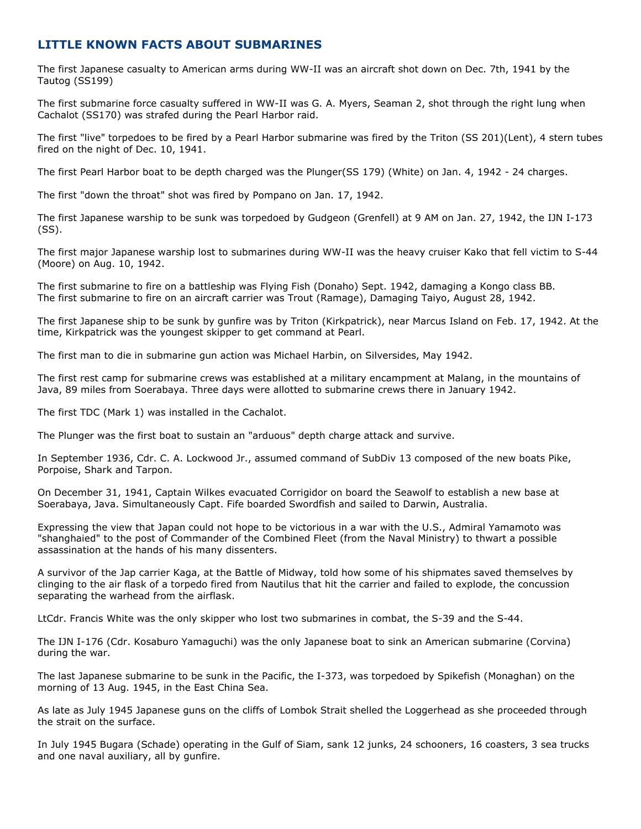# **LITTLE KNOWN FACTS ABOUT SUBMARINES**

The first Japanese casualty to American arms during WW-II was an aircraft shot down on Dec. 7th, 1941 by the Tautog (SS199)

The first submarine force casualty suffered in WW-II was G. A. Myers, Seaman 2, shot through the right lung when Cachalot (SS170) was strafed during the Pearl Harbor raid.

The first "live" torpedoes to be fired by a Pearl Harbor submarine was fired by the Triton (SS 201)(Lent), 4 stern tubes fired on the night of Dec. 10, 1941.

The first Pearl Harbor boat to be depth charged was the Plunger(SS 179) (White) on Jan. 4, 1942 - 24 charges.

The first "down the throat" shot was fired by Pompano on Jan. 17, 1942.

The first Japanese warship to be sunk was torpedoed by Gudgeon (Grenfell) at 9 AM on Jan. 27, 1942, the IJN I-173 (SS).

The first major Japanese warship lost to submarines during WW-II was the heavy cruiser Kako that fell victim to S-44 (Moore) on Aug. 10, 1942.

The first submarine to fire on a battleship was Flying Fish (Donaho) Sept. 1942, damaging a Kongo class BB. The first submarine to fire on an aircraft carrier was Trout (Ramage), Damaging Taiyo, August 28, 1942.

The first Japanese ship to be sunk by gunfire was by Triton (Kirkpatrick), near Marcus Island on Feb. 17, 1942. At the time, Kirkpatrick was the youngest skipper to get command at Pearl.

The first man to die in submarine gun action was Michael Harbin, on Silversides, May 1942.

The first rest camp for submarine crews was established at a military encampment at Malang, in the mountains of Java, 89 miles from Soerabaya. Three days were allotted to submarine crews there in January 1942.

The first TDC (Mark 1) was installed in the Cachalot.

The Plunger was the first boat to sustain an "arduous" depth charge attack and survive.

In September 1936, Cdr. C. A. Lockwood Jr., assumed command of SubDiv 13 composed of the new boats Pike, Porpoise, Shark and Tarpon.

On December 31, 1941, Captain Wilkes evacuated Corrigidor on board the Seawolf to establish a new base at Soerabaya, Java. Simultaneously Capt. Fife boarded Swordfish and sailed to Darwin, Australia.

Expressing the view that Japan could not hope to be victorious in a war with the U.S., Admiral Yamamoto was "shanghaied" to the post of Commander of the Combined Fleet (from the Naval Ministry) to thwart a possible assassination at the hands of his many dissenters.

A survivor of the Jap carrier Kaga, at the Battle of Midway, told how some of his shipmates saved themselves by clinging to the air flask of a torpedo fired from Nautilus that hit the carrier and failed to explode, the concussion separating the warhead from the airflask.

LtCdr. Francis White was the only skipper who lost two submarines in combat, the S-39 and the S-44.

The IJN I-176 (Cdr. Kosaburo Yamaguchi) was the only Japanese boat to sink an American submarine (Corvina) during the war.

The last Japanese submarine to be sunk in the Pacific, the I-373, was torpedoed by Spikefish (Monaghan) on the morning of 13 Aug. 1945, in the East China Sea.

As late as July 1945 Japanese guns on the cliffs of Lombok Strait shelled the Loggerhead as she proceeded through the strait on the surface.

In July 1945 Bugara (Schade) operating in the Gulf of Siam, sank 12 junks, 24 schooners, 16 coasters, 3 sea trucks and one naval auxiliary, all by gunfire.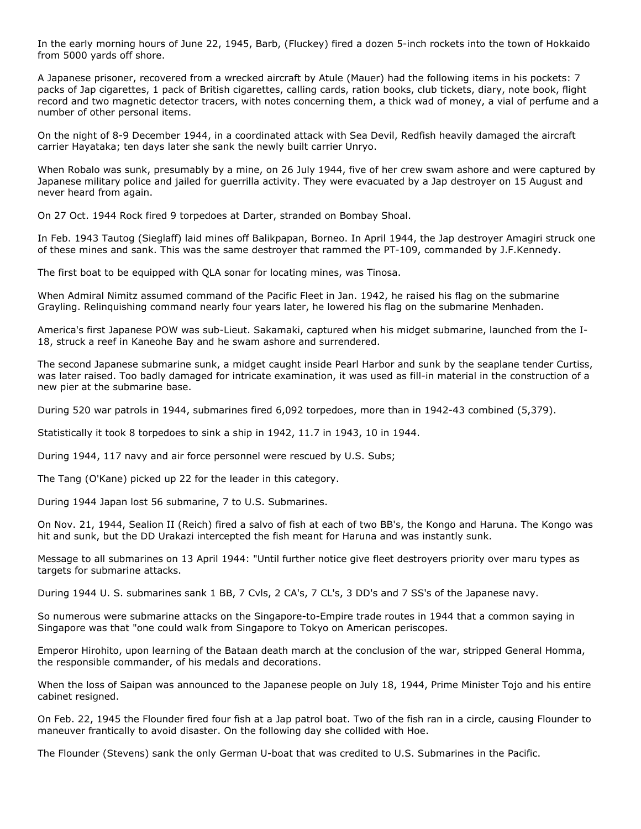In the early morning hours of June 22, 1945, Barb, (Fluckey) fired a dozen 5-inch rockets into the town of Hokkaido from 5000 yards off shore.

A Japanese prisoner, recovered from a wrecked aircraft by Atule (Mauer) had the following items in his pockets: 7 packs of Jap cigarettes, 1 pack of British cigarettes, calling cards, ration books, club tickets, diary, note book, flight record and two magnetic detector tracers, with notes concerning them, a thick wad of money, a vial of perfume and a number of other personal items.

On the night of 8-9 December 1944, in a coordinated attack with Sea Devil, Redfish heavily damaged the aircraft carrier Hayataka; ten days later she sank the newly built carrier Unryo.

When Robalo was sunk, presumably by a mine, on 26 July 1944, five of her crew swam ashore and were captured by Japanese military police and jailed for guerrilla activity. They were evacuated by a Jap destroyer on 15 August and never heard from again.

On 27 Oct. 1944 Rock fired 9 torpedoes at Darter, stranded on Bombay Shoal.

In Feb. 1943 Tautog (Sieglaff) laid mines off Balikpapan, Borneo. In April 1944, the Jap destroyer Amagiri struck one of these mines and sank. This was the same destroyer that rammed the PT-109, commanded by J.F.Kennedy.

The first boat to be equipped with QLA sonar for locating mines, was Tinosa.

When Admiral Nimitz assumed command of the Pacific Fleet in Jan. 1942, he raised his flag on the submarine Grayling. Relinquishing command nearly four years later, he lowered his flag on the submarine Menhaden.

America's first Japanese POW was sub-Lieut. Sakamaki, captured when his midget submarine, launched from the I-18, struck a reef in Kaneohe Bay and he swam ashore and surrendered.

The second Japanese submarine sunk, a midget caught inside Pearl Harbor and sunk by the seaplane tender Curtiss, was later raised. Too badly damaged for intricate examination, it was used as fill-in material in the construction of a new pier at the submarine base.

During 520 war patrols in 1944, submarines fired 6,092 torpedoes, more than in 1942-43 combined (5,379).

Statistically it took 8 torpedoes to sink a ship in 1942, 11.7 in 1943, 10 in 1944.

During 1944, 117 navy and air force personnel were rescued by U.S. Subs;

The Tang (O'Kane) picked up 22 for the leader in this category.

During 1944 Japan lost 56 submarine, 7 to U.S. Submarines.

On Nov. 21, 1944, Sealion II (Reich) fired a salvo of fish at each of two BB's, the Kongo and Haruna. The Kongo was hit and sunk, but the DD Urakazi intercepted the fish meant for Haruna and was instantly sunk.

Message to all submarines on 13 April 1944: "Until further notice give fleet destroyers priority over maru types as targets for submarine attacks.

During 1944 U. S. submarines sank 1 BB, 7 Cvls, 2 CA's, 7 CL's, 3 DD's and 7 SS's of the Japanese navy.

So numerous were submarine attacks on the Singapore-to-Empire trade routes in 1944 that a common saying in Singapore was that "one could walk from Singapore to Tokyo on American periscopes.

Emperor Hirohito, upon learning of the Bataan death march at the conclusion of the war, stripped General Homma, the responsible commander, of his medals and decorations.

When the loss of Saipan was announced to the Japanese people on July 18, 1944, Prime Minister Tojo and his entire cabinet resigned.

On Feb. 22, 1945 the Flounder fired four fish at a Jap patrol boat. Two of the fish ran in a circle, causing Flounder to maneuver frantically to avoid disaster. On the following day she collided with Hoe.

The Flounder (Stevens) sank the only German U-boat that was credited to U.S. Submarines in the Pacific.